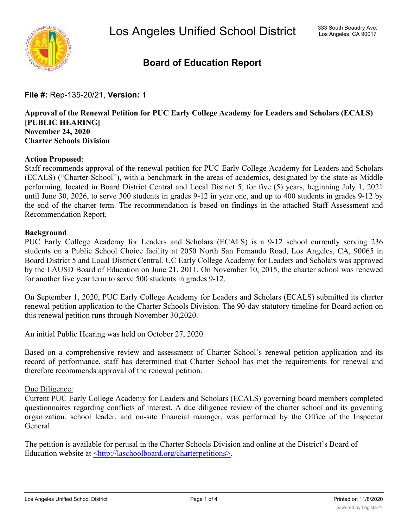

# **Board of Education Report**

**File #:** Rep-135-20/21, **Version:** 1

# **Approval of the Renewal Petition for PUC Early College Academy for Leaders and Scholars (ECALS) [PUBLIC HEARING] November 24, 2020 Charter Schools Division**

## **Action Proposed**:

Staff recommends approval of the renewal petition for PUC Early College Academy for Leaders and Scholars (ECALS) ("Charter School"), with a benchmark in the areas of academics, designated by the state as Middle performing, located in Board District Central and Local District 5, for five (5) years, beginning July 1, 2021 until June 30, 2026, to serve 300 students in grades 9-12 in year one, and up to 400 students in grades 9-12 by the end of the charter term. The recommendation is based on findings in the attached Staff Assessment and Recommendation Report.

## **Background**:

PUC Early College Academy for Leaders and Scholars (ECALS) is a 9-12 school currently serving 236 students on a Public School Choice facility at 2050 North San Fernando Road, Los Angeles, CA, 90065 in Board District 5 and Local District Central. UC Early College Academy for Leaders and Scholars was approved by the LAUSD Board of Education on June 21, 2011. On November 10, 2015, the charter school was renewed for another five year term to serve 500 students in grades 9-12.

On September 1, 2020, PUC Early College Academy for Leaders and Scholars (ECALS) submitted its charter renewal petition application to the Charter Schools Division. The 90-day statutory timeline for Board action on this renewal petition runs through November 30,2020.

An initial Public Hearing was held on October 27, 2020.

Based on a comprehensive review and assessment of Charter School's renewal petition application and its record of performance, staff has determined that Charter School has met the requirements for renewal and therefore recommends approval of the renewal petition.

## Due Diligence:

Current PUC Early College Academy for Leaders and Scholars (ECALS) governing board members completed questionnaires regarding conflicts of interest. A due diligence review of the charter school and its governing organization, school leader, and on-site financial manager, was performed by the Office of the Inspector General.

The petition is available for perusal in the Charter Schools Division and online at the District's Board of Education website at <http://laschoolboard.org/charterpetitions>.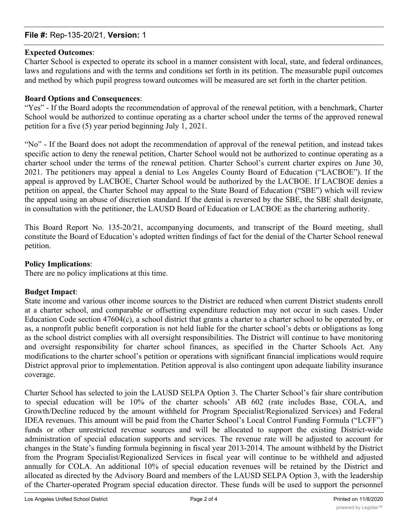## **File #:** Rep-135-20/21, **Version:** 1

## **Expected Outcomes**:

Charter School is expected to operate its school in a manner consistent with local, state, and federal ordinances, laws and regulations and with the terms and conditions set forth in its petition. The measurable pupil outcomes and method by which pupil progress toward outcomes will be measured are set forth in the charter petition.

## **Board Options and Consequences**:

"Yes" - If the Board adopts the recommendation of approval of the renewal petition, with a benchmark, Charter School would be authorized to continue operating as a charter school under the terms of the approved renewal petition for a five (5) year period beginning July 1, 2021.

"No" - If the Board does not adopt the recommendation of approval of the renewal petition, and instead takes specific action to deny the renewal petition, Charter School would not be authorized to continue operating as a charter school under the terms of the renewal petition. Charter School's current charter expires on June 30, 2021. The petitioners may appeal a denial to Los Angeles County Board of Education ("LACBOE"). If the appeal is approved by LACBOE, Charter School would be authorized by the LACBOE. If LACBOE denies a petition on appeal, the Charter School may appeal to the State Board of Education ("SBE") which will review the appeal using an abuse of discretion standard. If the denial is reversed by the SBE, the SBE shall designate, in consultation with the petitioner, the LAUSD Board of Education or LACBOE as the chartering authority.

This Board Report No. 135-20/21, accompanying documents, and transcript of the Board meeting, shall constitute the Board of Education's adopted written findings of fact for the denial of the Charter School renewal petition.

## **Policy Implications**:

There are no policy implications at this time.

# **Budget Impact**:

State income and various other income sources to the District are reduced when current District students enroll at a charter school, and comparable or offsetting expenditure reduction may not occur in such cases. Under Education Code section 47604(c), a school district that grants a charter to a charter school to be operated by, or as, a nonprofit public benefit corporation is not held liable for the charter school's debts or obligations as long as the school district complies with all oversight responsibilities. The District will continue to have monitoring and oversight responsibility for charter school finances, as specified in the Charter Schools Act. Any modifications to the charter school's petition or operations with significant financial implications would require District approval prior to implementation. Petition approval is also contingent upon adequate liability insurance coverage.

Charter School has selected to join the LAUSD SELPA Option 3. The Charter School's fair share contribution to special education will be 10% of the charter schools' AB 602 (rate includes Base, COLA, and Growth/Decline reduced by the amount withheld for Program Specialist/Regionalized Services) and Federal IDEA revenues. This amount will be paid from the Charter School's Local Control Funding Formula ("LCFF") funds or other unrestricted revenue sources and will be allocated to support the existing District-wide administration of special education supports and services. The revenue rate will be adjusted to account for changes in the State's funding formula beginning in fiscal year 2013-2014. The amount withheld by the District from the Program Specialist/Regionalized Services in fiscal year will continue to be withheld and adjusted annually for COLA. An additional 10% of special education revenues will be retained by the District and allocated as directed by the Advisory Board and members of the LAUSD SELPA Option 3, with the leadership of the Charter-operated Program special education director. These funds will be used to support the personnel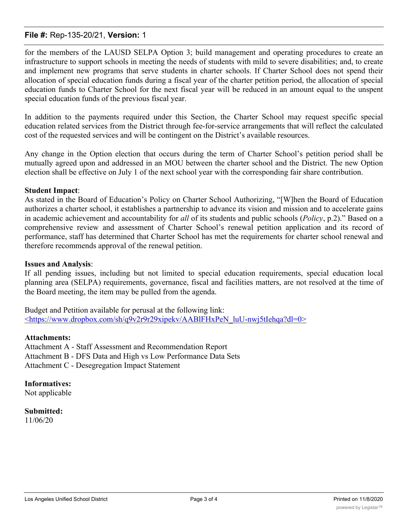## **File #:** Rep-135-20/21, **Version:** 1

for the members of the LAUSD SELPA Option 3; build management and operating procedures to create an infrastructure to support schools in meeting the needs of students with mild to severe disabilities; and, to create and implement new programs that serve students in charter schools. If Charter School does not spend their allocation of special education funds during a fiscal year of the charter petition period, the allocation of special education funds to Charter School for the next fiscal year will be reduced in an amount equal to the unspent special education funds of the previous fiscal year.

In addition to the payments required under this Section, the Charter School may request specific special education related services from the District through fee-for-service arrangements that will reflect the calculated cost of the requested services and will be contingent on the District's available resources.

Any change in the Option election that occurs during the term of Charter School's petition period shall be mutually agreed upon and addressed in an MOU between the charter school and the District. The new Option election shall be effective on July 1 of the next school year with the corresponding fair share contribution.

## **Student Impact**:

As stated in the Board of Education's Policy on Charter School Authorizing, "[W]hen the Board of Education authorizes a charter school, it establishes a partnership to advance its vision and mission and to accelerate gains in academic achievement and accountability for *all* of its students and public schools (*Policy*, p.2)." Based on a comprehensive review and assessment of Charter School's renewal petition application and its record of performance, staff has determined that Charter School has met the requirements for charter school renewal and therefore recommends approval of the renewal petition.

## **Issues and Analysis**:

If all pending issues, including but not limited to special education requirements, special education local planning area (SELPA) requirements, governance, fiscal and facilities matters, are not resolved at the time of the Board meeting, the item may be pulled from the agenda.

Budget and Petition available for perusal at the following link: <https://www.dropbox.com/sh/q9v2r9r29xipekv/AABlFHxPeN\_luU-nwj5tIehqa?dl=0>

## **Attachments:**

Attachment A - Staff Assessment and Recommendation Report Attachment B - DFS Data and High vs Low Performance Data Sets Attachment C - Desegregation Impact Statement

**Informatives:** Not applicable

**Submitted:** 11/06/20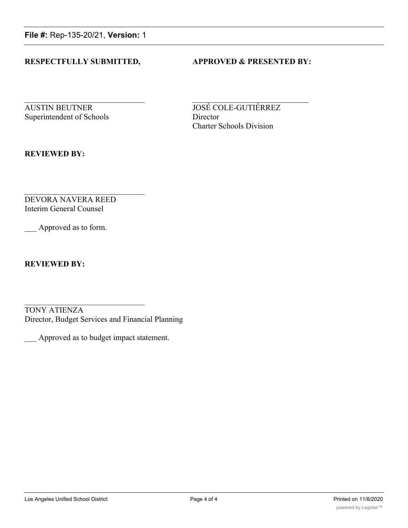**File #:** Rep-135-20/21, **Version:** 1

## **RESPECTFULLY SUBMITTED, APPROVED & PRESENTED BY:**

**AUSTIN BEUTNER JOSÉ COLE-GUTIÉRREZ** Superintendent of Schools Director

Charter Schools Division

**REVIEWED BY:**

DEVORA NAVERA REED Interim General Counsel

Approved as to form.

**REVIEWED BY:**

TONY ATIENZA Director, Budget Services and Financial Planning

\_\_\_ Approved as to budget impact statement.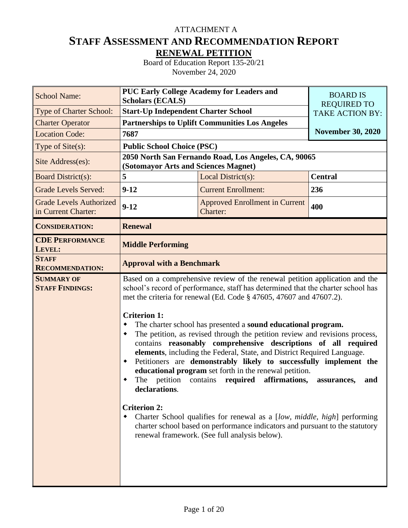# **STAFF ASSESSMENT AND RECOMMENDATION REPORT RENEWAL PETITION** ATTACHMENT A

Board of Education Report 135-20/21 November 24, 2020

| <b>School Name:</b>                                   | <b>PUC Early College Academy for Leaders and</b><br><b>Scholars (ECALS)</b>                                            | <b>BOARD IS</b>                                                                                                                                                                                                                                                                                                                                                                                                                                                                                                                                                                                                                                                                                                                                                                                                                                                                                  |                                              |  |  |  |
|-------------------------------------------------------|------------------------------------------------------------------------------------------------------------------------|--------------------------------------------------------------------------------------------------------------------------------------------------------------------------------------------------------------------------------------------------------------------------------------------------------------------------------------------------------------------------------------------------------------------------------------------------------------------------------------------------------------------------------------------------------------------------------------------------------------------------------------------------------------------------------------------------------------------------------------------------------------------------------------------------------------------------------------------------------------------------------------------------|----------------------------------------------|--|--|--|
| Type of Charter School:                               | <b>Start-Up Independent Charter School</b>                                                                             |                                                                                                                                                                                                                                                                                                                                                                                                                                                                                                                                                                                                                                                                                                                                                                                                                                                                                                  | <b>REQUIRED TO</b><br><b>TAKE ACTION BY:</b> |  |  |  |
| <b>Charter Operator</b>                               |                                                                                                                        | <b>Partnerships to Uplift Communities Los Angeles</b>                                                                                                                                                                                                                                                                                                                                                                                                                                                                                                                                                                                                                                                                                                                                                                                                                                            |                                              |  |  |  |
| <b>Location Code:</b>                                 | 7687                                                                                                                   |                                                                                                                                                                                                                                                                                                                                                                                                                                                                                                                                                                                                                                                                                                                                                                                                                                                                                                  | <b>November 30, 2020</b>                     |  |  |  |
| Type of $Site(s)$ :                                   | <b>Public School Choice (PSC)</b>                                                                                      |                                                                                                                                                                                                                                                                                                                                                                                                                                                                                                                                                                                                                                                                                                                                                                                                                                                                                                  |                                              |  |  |  |
| Site Address(es):                                     | (Sotomayor Arts and Sciences Magnet)                                                                                   | 2050 North San Fernando Road, Los Angeles, CA, 90065                                                                                                                                                                                                                                                                                                                                                                                                                                                                                                                                                                                                                                                                                                                                                                                                                                             |                                              |  |  |  |
| <b>Board District(s):</b>                             | 5                                                                                                                      | Local District(s):                                                                                                                                                                                                                                                                                                                                                                                                                                                                                                                                                                                                                                                                                                                                                                                                                                                                               | <b>Central</b>                               |  |  |  |
| <b>Grade Levels Served:</b>                           | $9-12$                                                                                                                 | 236                                                                                                                                                                                                                                                                                                                                                                                                                                                                                                                                                                                                                                                                                                                                                                                                                                                                                              |                                              |  |  |  |
| <b>Grade Levels Authorized</b><br>in Current Charter: | $9-12$                                                                                                                 | <b>Approved Enrollment in Current</b><br>Charter:                                                                                                                                                                                                                                                                                                                                                                                                                                                                                                                                                                                                                                                                                                                                                                                                                                                |                                              |  |  |  |
| <b>CONSIDERATION:</b>                                 | <b>Renewal</b>                                                                                                         |                                                                                                                                                                                                                                                                                                                                                                                                                                                                                                                                                                                                                                                                                                                                                                                                                                                                                                  |                                              |  |  |  |
| <b>CDE PERFORMANCE</b><br>LEVEL:                      | <b>Middle Performing</b>                                                                                               |                                                                                                                                                                                                                                                                                                                                                                                                                                                                                                                                                                                                                                                                                                                                                                                                                                                                                                  |                                              |  |  |  |
| <b>STAFF</b><br><b>RECOMMENDATION:</b>                | <b>Approval with a Benchmark</b>                                                                                       |                                                                                                                                                                                                                                                                                                                                                                                                                                                                                                                                                                                                                                                                                                                                                                                                                                                                                                  |                                              |  |  |  |
| <b>SUMMARY OF</b><br><b>STAFF FINDINGS:</b>           | <b>Criterion 1:</b><br>٠<br>٠<br>٠<br>The petition contains required<br>٠<br>declarations.<br><b>Criterion 2:</b><br>٠ | Based on a comprehensive review of the renewal petition application and the<br>school's record of performance, staff has determined that the charter school has<br>met the criteria for renewal (Ed. Code § 47605, 47607 and 47607.2).<br>The charter school has presented a sound educational program.<br>The petition, as revised through the petition review and revisions process,<br>contains reasonably comprehensive descriptions of all required<br>elements, including the Federal, State, and District Required Language.<br>Petitioners are demonstrably likely to successfully implement the<br>educational program set forth in the renewal petition.<br>affirmations,<br>Charter School qualifies for renewal as a [low, middle, high] performing<br>charter school based on performance indicators and pursuant to the statutory<br>renewal framework. (See full analysis below). | assurances,<br>and                           |  |  |  |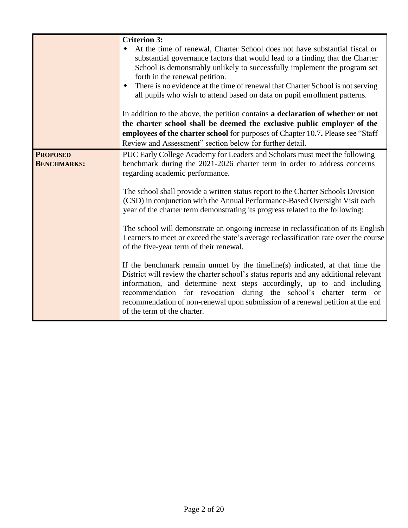|                                       | <b>Criterion 3:</b><br>At the time of renewal, Charter School does not have substantial fiscal or<br>substantial governance factors that would lead to a finding that the Charter<br>School is demonstrably unlikely to successfully implement the program set<br>forth in the renewal petition.<br>There is no evidence at the time of renewal that Charter School is not serving<br>all pupils who wish to attend based on data on pupil enrollment patterns.<br>In addition to the above, the petition contains a declaration of whether or not<br>the charter school shall be deemed the exclusive public employer of the<br>employees of the charter school for purposes of Chapter 10.7. Please see "Staff<br>Review and Assessment" section below for further detail.                                                                                                                                                                                                                                                                                                                                   |
|---------------------------------------|----------------------------------------------------------------------------------------------------------------------------------------------------------------------------------------------------------------------------------------------------------------------------------------------------------------------------------------------------------------------------------------------------------------------------------------------------------------------------------------------------------------------------------------------------------------------------------------------------------------------------------------------------------------------------------------------------------------------------------------------------------------------------------------------------------------------------------------------------------------------------------------------------------------------------------------------------------------------------------------------------------------------------------------------------------------------------------------------------------------|
| <b>PROPOSED</b><br><b>BENCHMARKS:</b> | PUC Early College Academy for Leaders and Scholars must meet the following<br>benchmark during the 2021-2026 charter term in order to address concerns<br>regarding academic performance.<br>The school shall provide a written status report to the Charter Schools Division<br>(CSD) in conjunction with the Annual Performance-Based Oversight Visit each<br>year of the charter term demonstrating its progress related to the following:<br>The school will demonstrate an ongoing increase in reclassification of its English<br>Learners to meet or exceed the state's average reclassification rate over the course<br>of the five-year term of their renewal.<br>If the benchmark remain unmet by the timeline(s) indicated, at that time the<br>District will review the charter school's status reports and any additional relevant<br>information, and determine next steps accordingly, up to and including<br>recommendation for revocation during the school's charter term or<br>recommendation of non-renewal upon submission of a renewal petition at the end<br>of the term of the charter. |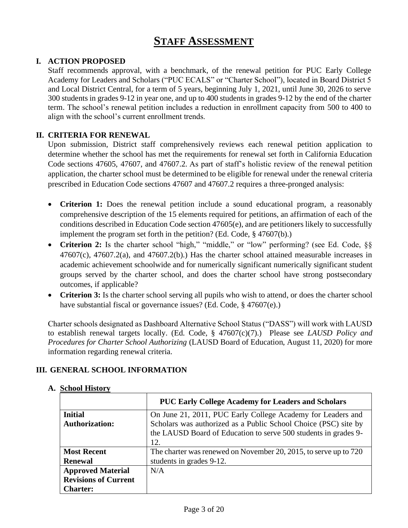# **STAFF ASSESSMENT**

# **I. ACTION PROPOSED**

Staff recommends approval, with a benchmark, of the renewal petition for PUC Early College Academy for Leaders and Scholars ("PUC ECALS" or "Charter School"), located in Board District 5 and Local District Central, for a term of 5 years, beginning July 1, 2021, until June 30, 2026 to serve 300 students in grades 9-12 in year one, and up to 400 students in grades 9-12 by the end of the charter term. The school's renewal petition includes a reduction in enrollment capacity from 500 to 400 to align with the school's current enrollment trends.

# **II. CRITERIA FOR RENEWAL**

Upon submission, District staff comprehensively reviews each renewal petition application to determine whether the school has met the requirements for renewal set forth in California Education Code sections 47605, 47607, and 47607.2. As part of staff's holistic review of the renewal petition application, the charter school must be determined to be eligible for renewal under the renewal criteria prescribed in Education Code sections 47607 and 47607.2 requires a three-pronged analysis:

- **Criterion 1:** Does the renewal petition include a sound educational program, a reasonably comprehensive description of the 15 elements required for petitions, an affirmation of each of the conditions described in Education Code section 47605(e), and are petitioners likely to successfully implement the program set forth in the petition? (Ed. Code, § 47607(b).)
- Criterion 2: Is the charter school "high," "middle," or "low" performing? (see Ed. Code, §§  $47607(c)$ ,  $47607.2(a)$ , and  $47607.2(b)$ . Has the charter school attained measurable increases in academic achievement schoolwide and for numerically significant numerically significant student groups served by the charter school, and does the charter school have strong postsecondary outcomes, if applicable?
- **Criterion 3:** Is the charter school serving all pupils who wish to attend, or does the charter school have substantial fiscal or governance issues? (Ed. Code, § 47607(e).)

Charter schools designated as Dashboard Alternative School Status ("DASS") will work with LAUSD to establish renewal targets locally. (Ed. Code, § 47607(c)(7).) Please see *LAUSD Policy and Procedures for Charter School Authorizing* (LAUSD Board of Education, August 11, 2020) for more information regarding renewal criteria.

## **III. GENERAL SCHOOL INFORMATION**

|                             | <b>PUC Early College Academy for Leaders and Scholars</b>        |
|-----------------------------|------------------------------------------------------------------|
| <b>Initial</b>              | On June 21, 2011, PUC Early College Academy for Leaders and      |
| <b>Authorization:</b>       | Scholars was authorized as a Public School Choice (PSC) site by  |
|                             | the LAUSD Board of Education to serve 500 students in grades 9-  |
|                             | 12.                                                              |
| <b>Most Recent</b>          | The charter was renewed on November 20, 2015, to serve up to 720 |
| <b>Renewal</b>              | students in grades 9-12.                                         |
| <b>Approved Material</b>    | N/A                                                              |
| <b>Revisions of Current</b> |                                                                  |
| <b>Charter:</b>             |                                                                  |

# **A. School History**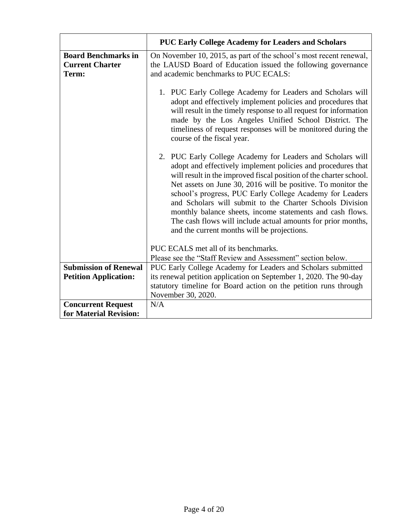|                                                               | <b>PUC Early College Academy for Leaders and Scholars</b>                                                                                                                                                                                                                                                                                                                                                                                                                                                                                                            |
|---------------------------------------------------------------|----------------------------------------------------------------------------------------------------------------------------------------------------------------------------------------------------------------------------------------------------------------------------------------------------------------------------------------------------------------------------------------------------------------------------------------------------------------------------------------------------------------------------------------------------------------------|
| <b>Board Benchmarks in</b><br><b>Current Charter</b><br>Term: | On November 10, 2015, as part of the school's most recent renewal,<br>the LAUSD Board of Education issued the following governance<br>and academic benchmarks to PUC ECALS:                                                                                                                                                                                                                                                                                                                                                                                          |
|                                                               | 1. PUC Early College Academy for Leaders and Scholars will<br>adopt and effectively implement policies and procedures that<br>will result in the timely response to all request for information<br>made by the Los Angeles Unified School District. The<br>timeliness of request responses will be monitored during the<br>course of the fiscal year.                                                                                                                                                                                                                |
|                                                               | 2. PUC Early College Academy for Leaders and Scholars will<br>adopt and effectively implement policies and procedures that<br>will result in the improved fiscal position of the charter school.<br>Net assets on June 30, 2016 will be positive. To monitor the<br>school's progress, PUC Early College Academy for Leaders<br>and Scholars will submit to the Charter Schools Division<br>monthly balance sheets, income statements and cash flows.<br>The cash flows will include actual amounts for prior months,<br>and the current months will be projections. |
|                                                               | PUC ECALS met all of its benchmarks.                                                                                                                                                                                                                                                                                                                                                                                                                                                                                                                                 |
|                                                               | Please see the "Staff Review and Assessment" section below.                                                                                                                                                                                                                                                                                                                                                                                                                                                                                                          |
| <b>Submission of Renewal</b>                                  | PUC Early College Academy for Leaders and Scholars submitted                                                                                                                                                                                                                                                                                                                                                                                                                                                                                                         |
| <b>Petition Application:</b>                                  | its renewal petition application on September 1, 2020. The 90-day                                                                                                                                                                                                                                                                                                                                                                                                                                                                                                    |
|                                                               | statutory timeline for Board action on the petition runs through                                                                                                                                                                                                                                                                                                                                                                                                                                                                                                     |
|                                                               | November 30, 2020.                                                                                                                                                                                                                                                                                                                                                                                                                                                                                                                                                   |
| <b>Concurrent Request</b>                                     | N/A                                                                                                                                                                                                                                                                                                                                                                                                                                                                                                                                                                  |
| for Material Revision:                                        |                                                                                                                                                                                                                                                                                                                                                                                                                                                                                                                                                                      |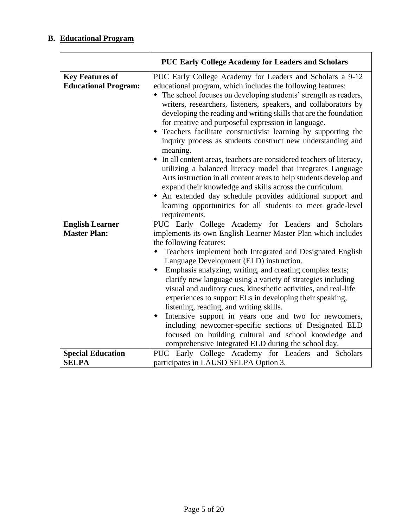# **B. Educational Program**

|                                                       | <b>PUC Early College Academy for Leaders and Scholars</b>                                                                                                                                                                                                                                                                                                                                                                                                                                                                                                                                                                                                                                                                                                                                                                                                                                                                                                           |
|-------------------------------------------------------|---------------------------------------------------------------------------------------------------------------------------------------------------------------------------------------------------------------------------------------------------------------------------------------------------------------------------------------------------------------------------------------------------------------------------------------------------------------------------------------------------------------------------------------------------------------------------------------------------------------------------------------------------------------------------------------------------------------------------------------------------------------------------------------------------------------------------------------------------------------------------------------------------------------------------------------------------------------------|
| <b>Key Features of</b><br><b>Educational Program:</b> | PUC Early College Academy for Leaders and Scholars a 9-12<br>educational program, which includes the following features:<br>• The school focuses on developing students' strength as readers,<br>writers, researchers, listeners, speakers, and collaborators by<br>developing the reading and writing skills that are the foundation<br>for creative and purposeful expression in language.<br>• Teachers facilitate constructivist learning by supporting the<br>inquiry process as students construct new understanding and<br>meaning.<br>• In all content areas, teachers are considered teachers of literacy,<br>utilizing a balanced literacy model that integrates Language<br>Arts instruction in all content areas to help students develop and<br>expand their knowledge and skills across the curriculum.<br>• An extended day schedule provides additional support and<br>learning opportunities for all students to meet grade-level<br>requirements. |
| <b>English Learner</b><br><b>Master Plan:</b>         | PUC Early College Academy for Leaders and Scholars<br>implements its own English Learner Master Plan which includes<br>the following features:<br>Teachers implement both Integrated and Designated English<br>٠<br>Language Development (ELD) instruction.<br>• Emphasis analyzing, writing, and creating complex texts;<br>clarify new language using a variety of strategies including<br>visual and auditory cues, kinesthetic activities, and real-life<br>experiences to support ELs in developing their speaking,<br>listening, reading, and writing skills.<br>Intensive support in years one and two for newcomers,<br>٠<br>including newcomer-specific sections of Designated ELD<br>focused on building cultural and school knowledge and<br>comprehensive Integrated ELD during the school day.                                                                                                                                                         |
| <b>Special Education</b><br><b>SELPA</b>              | PUC Early College Academy for Leaders and Scholars<br>participates in LAUSD SELPA Option 3.                                                                                                                                                                                                                                                                                                                                                                                                                                                                                                                                                                                                                                                                                                                                                                                                                                                                         |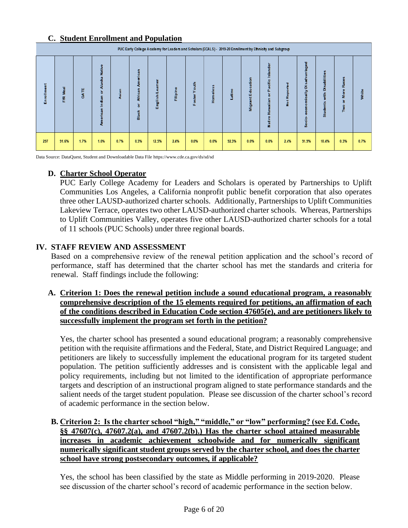# **C. Student Enrollment and Population**

|        | PUC Early College Academy for Leaders and Scholars (ECALS) - 2019-20 Enrollment by Ethnicity and Subgroup |      |                               |       |                             |         |             |      |      |       |                    |            |                   |                               |                                       |             |       |
|--------|-----------------------------------------------------------------------------------------------------------|------|-------------------------------|-------|-----------------------------|---------|-------------|------|------|-------|--------------------|------------|-------------------|-------------------------------|---------------------------------------|-------------|-------|
| 릉<br>훕 | ᇽ<br>≝<br>Æ                                                                                               | GATE | Native<br>ä<br>ъ<br>dian<br>Ę | Asian | jcan<br>Afric<br>۵<br>Black | English | ٥<br>â<br>Ē | €    |      | atino | 5<br>石<br>ш<br>giM | cific<br>Ë | ъ<br>۰<br>Not Rep | paßeq<br>õ<br>È<br>œ<br>Socio | abilitie<br>富<br>畫<br><sub>Stud</sub> | œ<br>Б<br>Ě | White |
| 297    | 91.6%                                                                                                     | 1.7% | 1.0%                          | 0.7%  | 0.3%                        | 12.5%   | 2.4%        | 0.0% | 0.0% | 92.3% | 0.0%               | 0.0%       | 2.4%              | 91.9%                         | 10.4%                                 | 0.3%        | 0.7%  |

Data Source: DataQuest, Student and Downloadable Data File https://www.cde.ca.gov/ds/sd/sd

# **D. Charter School Operator**

PUC Early College Academy for Leaders and Scholars is operated by Partnerships to Uplift Communities Los Angeles, a California nonprofit public benefit corporation that also operates three other LAUSD-authorized charter schools. Additionally, Partnerships to Uplift Communities Lakeview Terrace, operates two other LAUSD-authorized charter schools. Whereas, Partnerships to Uplift Communities Valley, operates five other LAUSD-authorized charter schools for a total of 11 schools (PUC Schools) under three regional boards.

# **IV. STAFF REVIEW AND ASSESSMENT**

Based on a comprehensive review of the renewal petition application and the school's record of performance, staff has determined that the charter school has met the standards and criteria for renewal. Staff findings include the following:

# **A. Criterion 1: Does the renewal petition include a sound educational program, a reasonably comprehensive description of the 15 elements required for petitions, an affirmation of each of the conditions described in Education Code section 47605(e), and are petitioners likely to successfully implement the program set forth in the petition?**

Yes, the charter school has presented a sound educational program; a reasonably comprehensive petition with the requisite affirmations and the Federal, State, and District Required Language; and petitioners are likely to successfully implement the educational program for its targeted student population. The petition sufficiently addresses and is consistent with the applicable legal and policy requirements, including but not limited to the identification of appropriate performance targets and description of an instructional program aligned to state performance standards and the salient needs of the target student population. Please see discussion of the charter school's record of academic performance in the section below.

# **B. Criterion 2: Is the charter school "high," "middle," or "low" performing? (see Ed. Code, §§ 47607(c), 47607.2(a), and 47607.2(b).) Has the charter school attained measurable increases in academic achievement schoolwide and for numerically significant numerically significant student groups served by the charter school, and does the charter school have strong postsecondary outcomes, if applicable?**

Yes, the school has been classified by the state as Middle performing in 2019-2020. Please see discussion of the charter school's record of academic performance in the section below.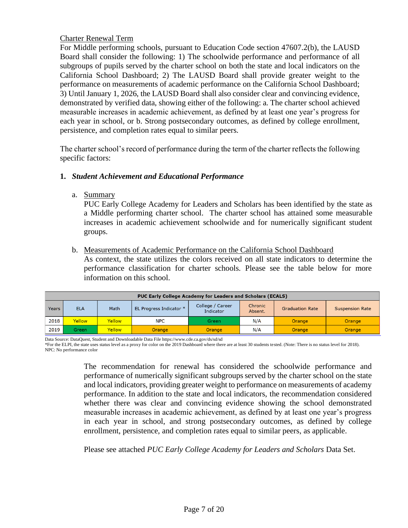# Charter Renewal Term

For Middle performing schools, pursuant to Education Code section 47607.2(b), the LAUSD Board shall consider the following: 1) The schoolwide performance and performance of all subgroups of pupils served by the charter school on both the state and local indicators on the California School Dashboard; 2) The LAUSD Board shall provide greater weight to the performance on measurements of academic performance on the California School Dashboard; 3) Until January 1, 2026, the LAUSD Board shall also consider clear and convincing evidence, demonstrated by verified data, showing either of the following: a. The charter school achieved measurable increases in academic achievement, as defined by at least one year's progress for each year in school, or b. Strong postsecondary outcomes, as defined by college enrollment, persistence, and completion rates equal to similar peers.

The charter school's record of performance during the term of the charter reflects the following specific factors:

## **1.** *Student Achievement and Educational Performance*

a. Summary

PUC Early College Academy for Leaders and Scholars has been identified by the state as a Middle performing charter school. The charter school has attained some measurable increases in academic achievement schoolwide and for numerically significant student groups.

## b. Measurements of Academic Performance on the California School Dashboard

As context, the state utilizes the colors received on all state indicators to determine the performance classification for charter schools. Please see the table below for more information on this school.

|       | <b>PUC Early College Academy for Leaders and Scholars (ECALS)</b> |               |                         |                               |                    |                        |                        |  |  |  |  |  |  |  |
|-------|-------------------------------------------------------------------|---------------|-------------------------|-------------------------------|--------------------|------------------------|------------------------|--|--|--|--|--|--|--|
| Years | <b>ELA</b>                                                        | Math          | EL Progress Indicator * | College / Career<br>Indicator | Chronic<br>Absent. | <b>Graduation Rate</b> | <b>Suspension Rate</b> |  |  |  |  |  |  |  |
| 2018  | <b>Yellow</b>                                                     | <b>Yellow</b> | <b>NPC</b>              | Green                         | N/A                | Orange                 | Orange                 |  |  |  |  |  |  |  |
| 2019  | Green                                                             | Yellow        | Orange                  | Orange                        | N/A                | Orange                 | Orange                 |  |  |  |  |  |  |  |

Data Source: DataQuest, Student and Downloadable Data File https://www.cde.ca.gov/ds/sd/sd \*For the ELPI, the state uses status level as a proxy for color on the 2019 Dashboard where there are at least 30 students tested. (Note: There is no status level for 2018). NPC: No performance color

> The recommendation for renewal has considered the schoolwide performance and performance of numerically significant subgroups served by the charter school on the state and local indicators, providing greater weight to performance on measurements of academy performance. In addition to the state and local indicators, the recommendation considered whether there was clear and convincing evidence showing the school demonstrated measurable increases in academic achievement, as defined by at least one year's progress in each year in school, and strong postsecondary outcomes, as defined by college enrollment, persistence, and completion rates equal to similar peers, as applicable.

Please see attached *PUC Early College Academy for Leaders and Scholars* Data Set.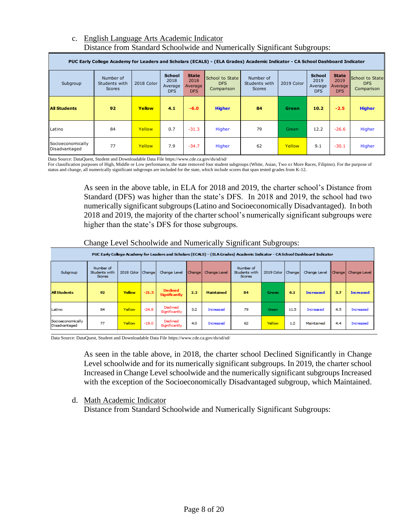## c. English Language Arts Academic Indicator Distance from Standard Schoolwide and Numerically Significant Subgroups:

|                                    | PUC Early College Academy for Leaders and Scholars (ECALS) - (ELA Grades) Academic Indicator - CA School Dashboard Indicator |            |                                                |                                               |                                             |                                             |            |                                                |                                               |                                             |  |  |  |  |
|------------------------------------|------------------------------------------------------------------------------------------------------------------------------|------------|------------------------------------------------|-----------------------------------------------|---------------------------------------------|---------------------------------------------|------------|------------------------------------------------|-----------------------------------------------|---------------------------------------------|--|--|--|--|
| Subgroup                           | Number of<br>Students with<br><b>Scores</b>                                                                                  | 2018 Color | <b>School</b><br>2018<br>Average<br><b>DFS</b> | <b>State</b><br>2018<br>Average<br><b>DFS</b> | School to State<br><b>DFS</b><br>Comparison | Number of<br>Students with<br><b>Scores</b> | 2019 Color | <b>School</b><br>2019<br>Average<br><b>DFS</b> | <b>State</b><br>2019<br>Average<br><b>DFS</b> | School to State<br><b>DFS</b><br>Comparison |  |  |  |  |
| <b>All Students</b>                | 92                                                                                                                           | Yellow     | 4.1                                            | $-6.0$                                        | <b>Higher</b>                               | 84                                          | Green      | 10.2                                           | $-2.5$                                        | <b>Higher</b>                               |  |  |  |  |
| Latino                             | 84                                                                                                                           | Yellow     | 0.7                                            | $-31.3$                                       | Higher                                      | 79                                          | Green      | 12.2                                           | $-26.6$                                       | Higher                                      |  |  |  |  |
| Socioeconomically<br>Disadvantaged | 77                                                                                                                           | Yellow     | 7.9                                            | $-34.7$                                       | Higher                                      | 62                                          | Yellow     | 9.1                                            | $-30.1$                                       | Higher                                      |  |  |  |  |

Data Source: DataQuest, Student and Downloadable Data File https://www.cde.ca.gov/ds/sd/sd/

For classification purposes of High, Middle or Low performance, the state removed four student subgroups (White, Asian, Two or More Races, Filipino). For the purpose of status and change, all numerically significant subgroups are included for the state, which include scores that span tested grades from K-12.

> As seen in the above table, in ELA for 2018 and 2019, the charter school's Distance from Standard (DFS) was higher than the state's DFS. In 2018 and 2019, the school had two numerically significant subgroups (Latino and Socioeconomically Disadvantaged). In both 2018 and 2019, the majority of the charter school's numerically significant subgroups were higher than the state's DFS for those subgroups.

## Change Level Schoolwide and Numerically Significant Subgroups:

| PUC Early College Academy for Leaders and Scholars (ECALS) - (ELA Grades) Academic Indicator - CA School Dashboard Indicator |                                             |                   |         |                                 |        |                   |                                             |                     |      |                  |        |                  |  |
|------------------------------------------------------------------------------------------------------------------------------|---------------------------------------------|-------------------|---------|---------------------------------|--------|-------------------|---------------------------------------------|---------------------|------|------------------|--------|------------------|--|
| Subgroup                                                                                                                     | Number of<br>Students with<br><b>Scores</b> | 2018 Color Change |         | Change Level                    | Change | Change Level      | Number of<br>Students with<br><b>Scores</b> | 2019 Color   Change |      | Change Level     | Change | Change Level     |  |
| <b>All Students</b>                                                                                                          | 92                                          | Yellow            | $-21.5$ | <b>Dedined</b><br>Significantly | 2.2    | <b>Maintained</b> | 84                                          | Green               | 6.1  | <b>Increased</b> | 3,7    | <b>Increased</b> |  |
| Latino                                                                                                                       | 84                                          | Yellow            | $-24.8$ | Dedined<br>Significantly        | 3.2    | Increased         | 79                                          | Green               | 11.5 | Increased        | 4.5    | Increased        |  |
| Socioeconomically<br>Disadvantaged                                                                                           | 77                                          | Yellow            | $-19.0$ | Dedined<br>Significantly        | 4.0    | Increased         | 62                                          | Yellow              | 1.2  | Maintained       | 4.4    | Increased        |  |

Data Source: DataQuest, Student and Downloadable Data File https://www.cde.ca.gov/ds/sd/sd/

As seen in the table above, in 2018, the charter school Declined Significantly in Change Level schoolwide and for its numerically significant subgroups. In 2019, the charter school Increased in Change Level schoolwide and the numerically significant subgroups Increased with the exception of the Socioeconomically Disadvantaged subgroup, which Maintained.

## d. Math Academic Indicator

Distance from Standard Schoolwide and Numerically Significant Subgroups: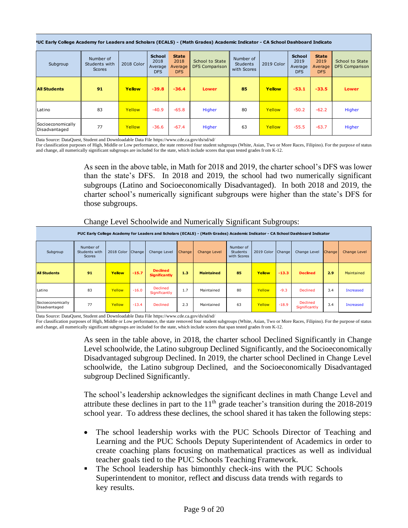| <sup>9</sup> UC Early College Academy for Leaders and Scholars (ECALS) - (Math Grades) Academic Indicator - CA School Dashboard Indicato |                                             |                                                              |         |                                               |                                          |                                             |            |                                                |                                        |                                          |  |  |
|------------------------------------------------------------------------------------------------------------------------------------------|---------------------------------------------|--------------------------------------------------------------|---------|-----------------------------------------------|------------------------------------------|---------------------------------------------|------------|------------------------------------------------|----------------------------------------|------------------------------------------|--|--|
| Subgroup                                                                                                                                 | Number of<br>Students with<br><b>Scores</b> | <b>School</b><br>2018<br>2018 Color<br>Average<br><b>DFS</b> |         | <b>State</b><br>2018<br>Average<br><b>DFS</b> | School to State<br><b>DFS Comparison</b> | Number of<br><b>Students</b><br>with Scores | 2019 Color | <b>School</b><br>2019<br>Average<br><b>DFS</b> | <b>State</b><br>2019<br>Average<br>DFS | School to State<br><b>DFS Comparison</b> |  |  |
| <b>All Students</b>                                                                                                                      | 91                                          | Yellow                                                       | $-39.8$ | $-36.4$                                       | <b>Lower</b>                             | 85                                          | Yellow     | $-53.1$                                        | $-33.5$                                | <b>Lower</b>                             |  |  |
| Latino                                                                                                                                   | 83                                          | Yellow                                                       | $-40.9$ | $-65.8$                                       | Higher                                   | 80                                          | Yellow     | $-50.2$                                        | $-62.2$                                | Higher                                   |  |  |
| Socioeconomically<br>Disadvantaged                                                                                                       | 77                                          | Yellow                                                       | $-36.6$ | $-67.4$                                       | Higher                                   | 63                                          | Yellow     | $-55.5$                                        | $-63.7$                                | Higher                                   |  |  |

Data Source: DataQuest, Student and Downloadable Data File https://www.cde.ca.gov/ds/sd/sd/

For classification purposes of High, Middle or Low performance, the state removed four student subgroups (White, Asian, Two or More Races, Filipino). For the purpose of status and change, all numerically significant subgroups are included for the state, which include scores that span tested grades from K-12.

> As seen in the above table, in Math for 2018 and 2019, the charter school's DFS was lower than the state's DFS. In 2018 and 2019, the school had two numerically significant subgroups (Latino and Socioeconomically Disadvantaged). In both 2018 and 2019, the charter school's numerically significant subgroups were higher than the state's DFS for those subgroups.

## Change Level Schoolwide and Numerically Significant Subgroups:

| PUC Early College Academy for Leaders and Scholars (ECALS) - (Math Grades) Academic Indicator - CA School Dashboard Indicator |                                             |                   |         |                                         |        |                   |                                      |                   |         |                                  |        |                  |  |
|-------------------------------------------------------------------------------------------------------------------------------|---------------------------------------------|-------------------|---------|-----------------------------------------|--------|-------------------|--------------------------------------|-------------------|---------|----------------------------------|--------|------------------|--|
| Subgroup                                                                                                                      | Number of<br>Students with<br><b>Scores</b> | 2018 Color Change |         | Change Level                            | Change | Change Level      | Number of<br>Students<br>with Scores | 2019 Color Change |         | Change Level                     | Change | Change Level     |  |
| <b>All Students</b>                                                                                                           | 91                                          | Yellow            | $-15.7$ | <b>Declined</b><br><b>Significantly</b> | 1.3    | <b>Maintained</b> | 85                                   | Yellow            | $-13.3$ | <b>Declined</b>                  | 2.9    | Maintained       |  |
| Latino                                                                                                                        | 83                                          | Yellow            | $-16.0$ | Declined<br>Significantly               | 1.7    | Maintained        | 80                                   | Yellow            | $-9.3$  | <b>Declined</b>                  | 3.4    | <b>Increased</b> |  |
| Socioeconomically<br>Disadvantaged                                                                                            | 77                                          | Yellow            | $-13.4$ | <b>Declined</b>                         | 2.3    | Maintained        | 63                                   | Yellow            | $-18.9$ | <b>Declined</b><br>Significantly | 3.4    | <b>Increased</b> |  |

Data Source: DataQuest, Student and Downloadable Data File https://www.cde.ca.gov/ds/sd/sd/

For classification purposes of High, Middle or Low performance, the state removed four student subgroups (White, Asian, Two or More Races, Filipino). For the purpose of status and change, all numerically significant subgroups are included for the state, which include scores that span tested grades from K-12.

> As seen in the table above, in 2018, the charter school Declined Significantly in Change Level schoolwide, the Latino subgroup Declined Significantly, and the Socioeconomically Disadvantaged subgroup Declined. In 2019, the charter school Declined in Change Level schoolwide, the Latino subgroup Declined, and the Socioeconomically Disadvantaged subgroup Declined Significantly.

> The school's leadership acknowledges the significant declines in math Change Level and attribute these declines in part to the  $11<sup>th</sup>$  grade teacher's transition during the 2018-2019 school year. To address these declines, the school shared it has taken the following steps:

- The school leadership works with the PUC Schools Director of Teaching and Learning and the PUC Schools Deputy Superintendent of Academics in order to create coaching plans focusing on mathematical practices as well as individual teacher goals tied to the PUC Schools Teaching Framework.
- **The School leadership has bimonthly check-ins with the PUC Schools** Superintendent to monitor, reflect and discuss data trends with regards to key results.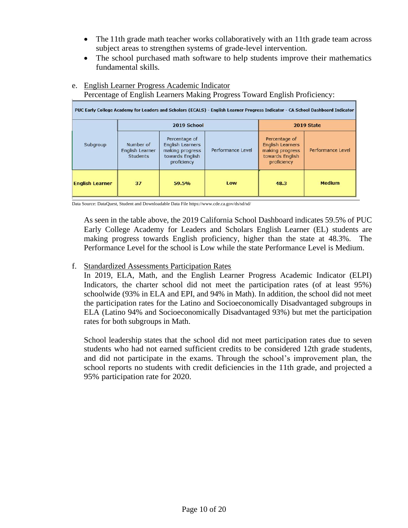- The 11th grade math teacher works collaboratively with an 11th grade team across subject areas to strengthen systems of grade-level intervention.
- The school purchased math software to help students improve their mathematics fundamental skills.

| PUC Early College Academy for Leaders and Scholars (ECALS) - English Learner Progress Indicator - CA School Dashboard Indicator |                                                 |                                                                                               |                   |                                                                                               |                   |  |  |  |  |  |  |  |
|---------------------------------------------------------------------------------------------------------------------------------|-------------------------------------------------|-----------------------------------------------------------------------------------------------|-------------------|-----------------------------------------------------------------------------------------------|-------------------|--|--|--|--|--|--|--|
|                                                                                                                                 |                                                 | 2019 School                                                                                   | 2019 State        |                                                                                               |                   |  |  |  |  |  |  |  |
| Subgroup                                                                                                                        | Number of<br>English Learner<br><b>Students</b> | Percentage of<br><b>English Learners</b><br>making progress<br>towards English<br>proficiency | Performance Level | Percentage of<br><b>English Learners</b><br>making progress<br>towards English<br>proficiency | Performance Level |  |  |  |  |  |  |  |
| <b>English Learner</b>                                                                                                          | 37                                              | 59.5%                                                                                         | Low               | 48.3                                                                                          | <b>Medium</b>     |  |  |  |  |  |  |  |

# e. English Learner Progress Academic Indicator

Percentage of English Learners Making Progress Toward English Proficiency:

Data Source: DataQuest, Student and Downloadable Data File https://www.cde.ca.gov/ds/sd/sd/

As seen in the table above, the 2019 California School Dashboard indicates 59.5% of PUC Early College Academy for Leaders and Scholars English Learner (EL) students are making progress towards English proficiency, higher than the state at 48.3%. The Performance Level for the school is Low while the state Performance Level is Medium.

# f. Standardized Assessments Participation Rates

In 2019, ELA, Math, and the English Learner Progress Academic Indicator (ELPI) Indicators, the charter school did not meet the participation rates (of at least 95%) schoolwide (93% in ELA and EPI, and 94% in Math). In addition, the school did not meet the participation rates for the Latino and Socioeconomically Disadvantaged subgroups in ELA (Latino 94% and Socioeconomically Disadvantaged 93%) but met the participation rates for both subgroups in Math.

School leadership states that the school did not meet participation rates due to seven students who had not earned sufficient credits to be considered 12th grade students, and did not participate in the exams. Through the school's improvement plan, the school reports no students with credit deficiencies in the 11th grade, and projected a 95% participation rate for 2020.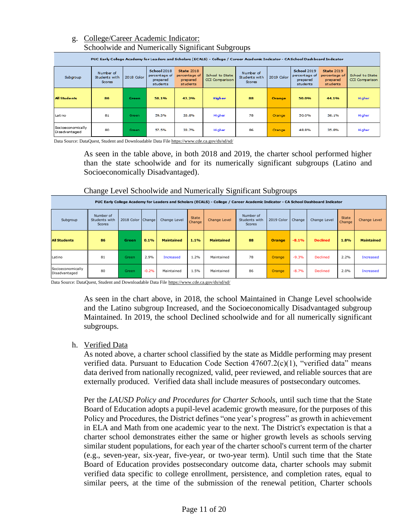# g. College/Career Academic Indicator: Schoolwide and Numerically Significant Subgroups

|                                    |                                             |            |                                                      |                                                            | PUC Early College Academy for Leaders and Scholars (ECALS) - College / Career Academic Indicator - CA School Dashboard Indicator |                                             |               |                                                             |                                                            |                                   |
|------------------------------------|---------------------------------------------|------------|------------------------------------------------------|------------------------------------------------------------|----------------------------------------------------------------------------------------------------------------------------------|---------------------------------------------|---------------|-------------------------------------------------------------|------------------------------------------------------------|-----------------------------------|
| Subgroup                           | Number of<br>Students with<br><b>Scores</b> | 2018 Color | School 2018<br>percentage of<br>prepared<br>students | <b>State 2018</b><br>percentage of<br>prepared<br>students | School to State<br><b>CCI</b> Comparison                                                                                         | Number of<br>Students with<br><b>Scores</b> | 2019 Color    | <b>School 2019</b><br>percentage of<br>prepared<br>students | <b>State 2019</b><br>percentage of<br>prepared<br>students | School to State<br>CCI Comparison |
| <b>All Students</b>                | 86                                          | Green      | 58.1%                                                | 42.2%                                                      | <b>Higher</b>                                                                                                                    | 88                                          | <b>Orange</b> | 50.0%                                                       | 44.1%                                                      | Higher                            |
| Latino                             | 81                                          | Green      | 59.3%                                                | 33.8%                                                      | Higher                                                                                                                           | 78                                          | Orange        | 50.0%                                                       | 36.1%                                                      | Higher                            |
| Socioeconomically<br>Disadvantaged | 80                                          | Green      | 57.5%                                                | 33.7%                                                      | Higher                                                                                                                           | 86                                          | Orange        | 48.8%                                                       | 35.8%                                                      | Higher                            |

Data Source: DataQuest, Student and Downloadable Data Fil[e https://www.cde.ca.gov/ds/sd/sd/](https://www.cde.ca.gov/ds/sd/sd/)

As seen in the table above, in both 2018 and 2019, the charter school performed higher than the state schoolwide and for its numerically significant subgroups (Latino and Socioeconomically Disadvantaged).

## Change Level Schoolwide and Numerically Significant Subgroups

|                                    | PUC Early College Academy for Leaders and Scholars (ECALS) - College / Career Academic Indicator - CA School Dashboard Indicator |                   |         |                   |                        |                     |                                             |            |         |                 |                        |                     |
|------------------------------------|----------------------------------------------------------------------------------------------------------------------------------|-------------------|---------|-------------------|------------------------|---------------------|---------------------------------------------|------------|---------|-----------------|------------------------|---------------------|
| Subgroup                           | Number of<br>Students with<br><b>Scores</b>                                                                                      | 2018 Color Change |         | Change Level      | <b>State</b><br>Change | <b>Change Level</b> | Number of<br>Students with<br><b>Scores</b> | 2019 Color | Change  | Change Level    | <b>State</b><br>Change | <b>Change Level</b> |
| <b>All Students</b>                | 86                                                                                                                               | Green             | 0.1%    | <b>Maintained</b> | 1.1%                   | <b>Maintained</b>   | 88                                          | Orange     | $-8.1%$ | <b>Declined</b> | 1.8%                   | <b>Maintained</b>   |
| Latino                             | 81                                                                                                                               | Green             | 2.9%    | Increased         | 1.2%                   | Maintained          | 78                                          | Orange     | $-9.3%$ | Declined        | 2.2%                   | <b>Increased</b>    |
| Socioeconomically<br>Disadvantaged | 80                                                                                                                               | Green             | $-0.2%$ | Maintained        | 1.5%                   | Maintained          | 86                                          | Orange     | $-8.7%$ | <b>Declined</b> | 2.0%                   | <b>Increased</b>    |

Data Source: DataQuest, Student and Downloadable Data File<https://www.cde.ca.gov/ds/sd/sd/>

As seen in the chart above, in 2018, the school Maintained in Change Level schoolwide and the Latino subgroup Increased, and the Socioeconomically Disadvantaged subgroup Maintained. In 2019, the school Declined schoolwide and for all numerically significant subgroups.

## h. Verified Data

As noted above, a charter school classified by the state as Middle performing may present verified data. Pursuant to Education Code Section 47607.2(c)(1), "verified data" means data derived from nationally recognized, valid, peer reviewed, and reliable sources that are externally produced. Verified data shall include measures of postsecondary outcomes.

Per the *LAUSD Policy and Procedures for Charter Schools,* until such time that the State Board of Education adopts a pupil-level academic growth measure, for the purposes of this Policy and Procedures, the District defines "one year's progress" as growth in achievement in ELA and Math from one academic year to the next. The District's expectation is that a charter school demonstrates either the same or higher growth levels as schools serving similar student populations, for each year of the charter school's current term of the charter (e.g., seven-year, six-year, five-year, or two-year term). Until such time that the State Board of Education provides postsecondary outcome data, charter schools may submit verified data specific to college enrollment, persistence, and completion rates, equal to similar peers, at the time of the submission of the renewal petition. Charter schools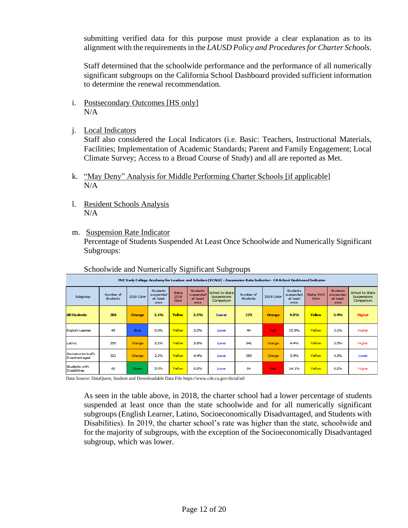submitting verified data for this purpose must provide a clear explanation as to its alignment with the requirements in the *LAUSD Policy and Procedures for Charter Schools.*

Staff determined that the schoolwide performance and the performance of all numerically significant subgroups on the California School Dashboard provided sufficient information to determine the renewal recommendation.

- i. Postsecondary Outcomes [HS only]  $N/A$
- j. Local Indicators

Staff also considered the Local Indicators (i.e. Basic: Teachers, Instructional Materials, Facilities; Implementation of Academic Standards; Parent and Family Engagement; Local Climate Survey; Access to a Broad Course of Study) and all are reported as Met.

- k. "May Deny" Analysis for Middle Performing Charter Schools [if applicable] N/A
- l. Resident Schools Analysis N/A
- m. Suspension Rate Indicator Percentage of Students Suspended At Least Once Schoolwide and Numerically Significant Subgroups:

|                                      | PUC Early College Academy for Leaders and Scholars (ECALS) - Suspension Rate Indicator - CA School Dashboard Indicator |            |                                                  |                               |                                                  |                                              |                              |               |                                                  |                                   |                                                  |                                              |  |
|--------------------------------------|------------------------------------------------------------------------------------------------------------------------|------------|--------------------------------------------------|-------------------------------|--------------------------------------------------|----------------------------------------------|------------------------------|---------------|--------------------------------------------------|-----------------------------------|--------------------------------------------------|----------------------------------------------|--|
| Subgroup                             | Number of<br><b>Students</b>                                                                                           | 2018 Color | <b>Students</b><br>suspended<br>at least<br>once | State<br>2018<br><b>Color</b> | <b>Students</b><br>suspended<br>at least<br>once | School to State<br>Suspensions<br>Comparison | Number of<br><b>Students</b> | 2019 Color    | <b>Students</b><br>suspended<br>at least<br>once | <b>State 2019</b><br><b>Color</b> | <b>Students</b><br>suspended<br>at least<br>once | School to State<br>Suspensions<br>Comparison |  |
| <b>Al Students</b>                   | 388                                                                                                                    | Orange     | 2.1%                                             | Yellow                        | 3.5%                                             | Lower                                        | 370                          | <b>Orange</b> | 4.9%                                             | Yellow                            | 3.4%                                             | <b>Higher</b>                                |  |
| English Leamer                       | 45                                                                                                                     | Blue       | 0.0%                                             | Yellow                        | 3.0%                                             | Lower                                        | 44                           | Red           | 15.9%                                            | Yellow                            | 3.1%                                             | Higher                                       |  |
| Latino                               | 359                                                                                                                    | Orange     | 2.2%                                             | Yellow                        | 3.6%                                             | Lower                                        | 342                          | Crange        | 4.4%                                             | Yellow                            | 3.5%                                             | Higher                                       |  |
| Socioeconomically<br>Disadvantaged   | 323                                                                                                                    | Orange     | 2.2%                                             | Yellow                        | 4.4%                                             | Lower                                        | 285                          | Crange        | 3.9%                                             | Yellow                            | 4.3%                                             | Lower                                        |  |
| Students with<br><b>Disabilities</b> | 60                                                                                                                     | Green      | 5.0%                                             | Yellow                        | 6.8%                                             | Lower                                        | 64                           | Red           | 14.1%                                            | Yellow                            | 6.2%                                             | Higher                                       |  |

Schoolwide and Numerically Significant Subgroups

Data Source: DataQuest, Student and Downloadable Data File https://www.cde.ca.gov/ds/sd/sd/

As seen in the table above, in 2018, the charter school had a lower percentage of students suspended at least once than the state schoolwide and for all numerically significant subgroups (English Learner, Latino, Socioeconomically Disadvantaged, and Students with Disabilities). In 2019, the charter school's rate was higher than the state, schoolwide and for the majority of subgroups, with the exception of the Socioeconomically Disadvantaged subgroup, which was lower.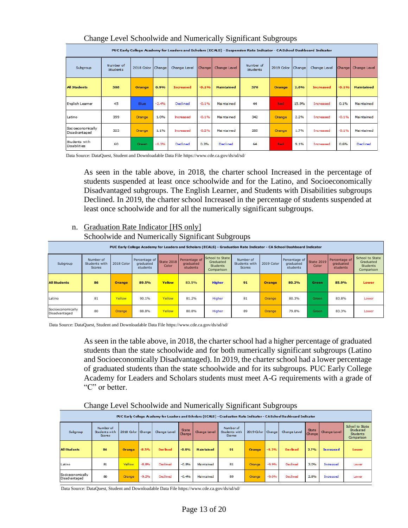| Change Level Schoolwide and Numerically Significant Subgroups |  |  |  |
|---------------------------------------------------------------|--|--|--|
|                                                               |  |  |  |

|                                      | PUC Early College Academy for Leaders and Scholars (ECALS) - Suspension Rate Indicator - CA School Dashboard Indicator |                     |         |                  |         |                   |                              |               |        |                  |         |                   |
|--------------------------------------|------------------------------------------------------------------------------------------------------------------------|---------------------|---------|------------------|---------|-------------------|------------------------------|---------------|--------|------------------|---------|-------------------|
| Subgroup                             | Number of<br><b>Students</b>                                                                                           | 2018 Color   Change |         | Change Level     | Change  | Change Level      | Number of<br><b>Students</b> | 2019 Color    | Change | Change Level     | Change  | Change Level      |
| <b>All Students</b>                  | 388                                                                                                                    | <b>Orange</b>       | 0.9%    | <b>Increased</b> | $-0.1%$ | <b>Maintained</b> | 370                          | <b>Orange</b> | 2.8%   | <b>Increased</b> | $-0.1%$ | <b>Maintained</b> |
| English Learner                      | 45                                                                                                                     | <b>Blue</b>         | $-2.4%$ | Declined         | $-0.1%$ | <b>Maintained</b> | 44                           | <b>Red</b>    | 15.9%  | Increased        | 0.1%    | Maintained        |
| Latino                               | 359                                                                                                                    | Orange              | 1.0%    | Increased        | $-0.1%$ | Maintained        | 342                          | Orange        | 2.2%   | Increased        | $-0.1%$ | Maintained        |
| Socioeconomically<br>Disadvantaged   | 323                                                                                                                    | Orange              | 1.1%    | Increased        | $-0.2%$ | Maintained        | 285                          | Orange        | 1.7%   | Increased        | $-0.1%$ | Maintained        |
| Students with<br><b>Disabilities</b> | 60                                                                                                                     | Green               | $-0.3%$ | Declined         | 0.3%    | <b>Declined</b>   | 64                           | Red:          | 9.1%   | Increased        | 0.6%    | <b>Declined</b>   |

Data Source: DataQuest, Student and Downloadable Data File https://www.cde.ca.gov/ds/sd/sd/

As seen in the table above, in 2018, the charter school Increased in the percentage of students suspended at least once schoolwide and for the Latino, and Socioeconomically Disadvantaged subgroups. The English Learner, and Students with Disabilities subgroups Declined. In 2019, the charter school Increased in the percentage of students suspended at least once schoolwide and for all the numerically significant subgroups.

## n. Graduation Rate Indicator [HS only] Schoolwide and Numerically Significant Subgroups

| PUC Early College Academy for Leaders and Scholars (ECALS) - Graduation Rate Indicator - CA School Dashboard Indicator |                                             |            |                                        |                            |                                        |                                                               |                                      |                     |                                        |                            |                                        |                                                               |
|------------------------------------------------------------------------------------------------------------------------|---------------------------------------------|------------|----------------------------------------|----------------------------|----------------------------------------|---------------------------------------------------------------|--------------------------------------|---------------------|----------------------------------------|----------------------------|----------------------------------------|---------------------------------------------------------------|
| Subgroup                                                                                                               | Number of<br>Students with<br><b>Scores</b> | 2018 Color | Percentage of<br>graduated<br>students | <b>State 2018</b><br>Color | Percentage of<br>graduated<br>students | School to State<br>Graduated<br><b>Students</b><br>Comparison | Number of<br>Students with<br>Scores | 2019 Color          | Percentage of<br>graduated<br>students | <b>State 2019</b><br>Color | Percentage of<br>graduated<br>students | School to State<br>Graduated<br><b>Students</b><br>Comparison |
| <b>All Students</b>                                                                                                    | 86                                          | Orange     | 89.5%                                  | Yellow                     | 83.5%                                  | <b>Higher</b>                                                 | 91                                   | <b>Orange</b>       | 80.2%                                  | Green                      | 85.9%                                  | Lower                                                         |
| Latino                                                                                                                 | 81                                          | Yellow     | 90.1%                                  | Yellow                     | 81.2%                                  | Higher                                                        | 81                                   | Orange              | 80.3%                                  | Green                      | 83.8%                                  | Lower                                                         |
| Socioeconomically<br>Disadvantaged                                                                                     | 80                                          | Orange/    | 88.8%                                  | Yellow                     | 80.8%                                  | Higher                                                        | 89                                   | Orange <sub>/</sub> | 79.8%                                  | Green                      | 83.3%                                  | Lower                                                         |

Data Source: DataQuest, Student and Downloadable Data File https://www.cde.ca.gov/ds/sd/sd/

As seen in the table above, in 2018, the charter school had a higher percentage of graduated students than the state schoolwide and for both numerically significant subgroups (Latino and Socioeconomically Disadvantaged). In 2019, the charter school had a lower percentage of graduated students than the state schoolwide and for its subgroups. PUC Early College Academy for Leaders and Scholars students must meet A-G requirements with a grade of "C" or better.

## Change Level Schoolwide and Numerically Significant Subgroups

|                                                                                                                       | $\tilde{}$                            |                   |         |                 |                        |                   | $\tilde{}$                                         |                     | ີ       |                 |                        |                  |                                                               |
|-----------------------------------------------------------------------------------------------------------------------|---------------------------------------|-------------------|---------|-----------------|------------------------|-------------------|----------------------------------------------------|---------------------|---------|-----------------|------------------------|------------------|---------------------------------------------------------------|
| PUC Early College Academy for Leaders and Scholars (ECALS) - Graduation Rate Indicator - CASchool Dashboard Indicator |                                       |                   |         |                 |                        |                   |                                                    |                     |         |                 |                        |                  |                                                               |
| Subgroup                                                                                                              | Number of<br>Students with<br>Scores. | 2018 Color Change |         | Change Level    | <b>State</b><br>Change | Change Level      | <b>Number of</b><br>Students with<br><b>Scores</b> | 2019 Color   Change |         | Change Level    | <b>State</b><br>Change | Change Level     | School to State<br>Graduated<br><b>Students</b><br>Comparison |
| <b>All Students</b>                                                                                                   | 86                                    | Orange/           | $-8.5%$ | <b>Declined</b> | $-0.9%$                | <b>Maintained</b> | 91                                                 | Orange              | $-9.3%$ | <b>Declined</b> | 2.7%                   | <b>Increased</b> | <b>Lower</b>                                                  |
| Latino                                                                                                                | 81                                    | <b>Vellow</b>     | $-8.8%$ | Declined        | $-0.8%$                | Maintained        | 81                                                 | Orange              | $-9.9%$ | Dedined         | 3.0%                   | Increased        | Lower                                                         |
| Socioeconomically<br>Disadvantaged                                                                                    | 80                                    | <b>Crange</b>     | $-9.2%$ | Declined        | $-0.4%$                | Maintained        | 89                                                 | Orange              | $-9.0%$ | Dedined         | 2.8%                   | Increased        | Lower                                                         |

Data Source: DataQuest, Student and Downloadable Data File https://www.cde.ca.gov/ds/sd/sd/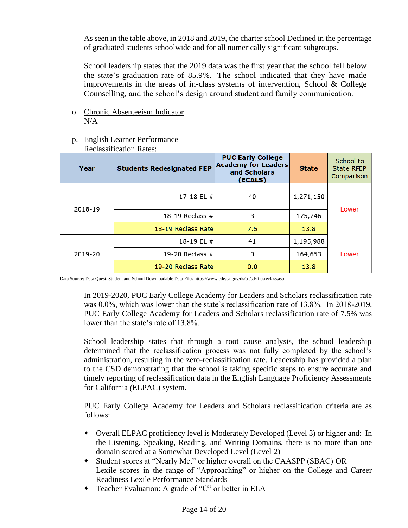As seen in the table above, in 2018 and 2019, the charter school Declined in the percentage of graduated students schoolwide and for all numerically significant subgroups.

School leadership states that the 2019 data was the first year that the school fell below the state's graduation rate of 85.9%. The school indicated that they have made improvements in the areas of in-class systems of intervention, School & College Counselling, and the school's design around student and family communication.

o. Chronic Absenteeism Indicator N/A

|         | <b>Reclassification Rates:</b>   |                                                                                   |              |                                              |
|---------|----------------------------------|-----------------------------------------------------------------------------------|--------------|----------------------------------------------|
| Year    | <b>Students Redesignated FEP</b> | <b>PUC Early College</b><br><b>Academy for Leaders</b><br>and Scholars<br>(ECALS) | <b>State</b> | School to<br><b>State RFEP</b><br>Comparison |
| 2018-19 | 17-18 EL $#$                     | 40                                                                                | 1,271,150    | Lower                                        |
|         | 18-19 Reclass $#$                | 3                                                                                 | 175,746      |                                              |
|         | 18-19 Reclass Rate               | 7.5                                                                               | 13.8         |                                              |
|         | 18-19 EL #                       | 41                                                                                | 1,195,988    |                                              |
| 2019-20 | 19-20 Reclass $#$                | 0                                                                                 | 164,653      | Lower                                        |
|         | 19-20 Reclass Rate               | 0.0                                                                               | 13.8         |                                              |

# p. English Learner Performance

Data Source: Data Quest, Student and School Downloadable Data Files https://www.cde.ca.gov/ds/sd/sd/filesreclass.asp

In 2019-2020, PUC Early College Academy for Leaders and Scholars reclassification rate was 0.0%, which was lower than the state's reclassification rate of 13.8%. In 2018-2019, PUC Early College Academy for Leaders and Scholars reclassification rate of 7.5% was lower than the state's rate of 13.8%.

School leadership states that through a root cause analysis, the school leadership determined that the reclassification process was not fully completed by the school's administration, resulting in the zero-reclassification rate. Leadership has provided a plan to the CSD demonstrating that the school is taking specific steps to ensure accurate and timely reporting of reclassification data in the English Language Proficiency Assessments for California *(*ELPAC) system.

PUC Early College Academy for Leaders and Scholars reclassification criteria are as follows:

- Overall ELPAC proficiency level is Moderately Developed (Level 3) or higher and: In the Listening, Speaking, Reading, and Writing Domains, there is no more than one domain scored at a Somewhat Developed Level (Level 2)
- Student scores at "Nearly Met" or higher overall on the CAASPP (SBAC) OR Lexile scores in the range of "Approaching" or higher on the College and Career Readiness Lexile Performance Standards
- Teacher Evaluation: A grade of "C" or better in ELA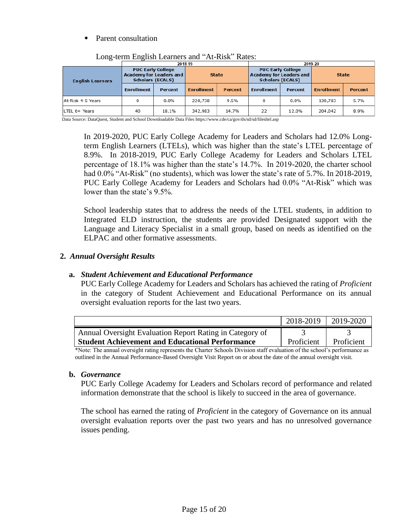## Parent consultation

|                         |                                                                                       | 2018-19 |                   |         | 2019-20                                                                        |                |                   |                |  |  |
|-------------------------|---------------------------------------------------------------------------------------|---------|-------------------|---------|--------------------------------------------------------------------------------|----------------|-------------------|----------------|--|--|
| <b>English Learners</b> | <b>PUC Early College</b><br><b>Academy for Leaders and</b><br><b>Scholars (ECALS)</b> |         | <b>State</b>      |         | <b>PUC Early College</b><br>Academy for Leaders and<br><b>Scholars (ECALS)</b> |                | <b>State</b>      |                |  |  |
|                         | <b>Enrollment</b>                                                                     | Percent | <b>Enrollment</b> | Percent | <b>Enrollment</b>                                                              | <b>Percent</b> | <b>Enrollment</b> | <b>Percent</b> |  |  |
| At-Risk 4-5 Years       | 0                                                                                     | 0.0%    | 220,738           | 9.5%    | 0                                                                              | 0.0%           | 130,783           | 5.7%           |  |  |
| LTEL 6+ Years           | 40                                                                                    | 18.1%   | 342,983           | 14.7%   | 22                                                                             | 12.0%          | 204,042           | 8.9%           |  |  |

Long-term English Learners and "At-Risk" Rates:

Data Source: DataQuest, Student and School Downloadable Data Files https://www.cde/ca/gov/ds/sd/sd/filesltel.asp

In 2019-2020, PUC Early College Academy for Leaders and Scholars had 12.0% Longterm English Learners (LTELs), which was higher than the state's LTEL percentage of 8.9%. In 2018-2019, PUC Early College Academy for Leaders and Scholars LTEL percentage of 18.1% was higher than the state's 14.7%. In 2019-2020, the charter school had 0.0% "At-Risk" (no students), which was lower the state's rate of 5.7%. In 2018-2019, PUC Early College Academy for Leaders and Scholars had 0.0% "At-Risk" which was lower than the state's 9.5%.

School leadership states that to address the needs of the LTEL students, in addition to Integrated ELD instruction, the students are provided Designated support with the Language and Literacy Specialist in a small group, based on needs as identified on the ELPAC and other formative assessments.

## **2.** *Annual Oversight Results*

## **a.** *Student Achievement and Educational Performance*

PUC Early College Academy for Leaders and Scholars has achieved the rating of *Proficient* in the category of Student Achievement and Educational Performance on its annual oversight evaluation reports for the last two years.

|                                                          | $\parallel$ 2018-2019 | 2019-2020  |
|----------------------------------------------------------|-----------------------|------------|
| Annual Oversight Evaluation Report Rating in Category of |                       |            |
| <b>Student Achievement and Educational Performance</b>   | Proficient            | Proficient |

\*Note: The annual oversight rating represents the Charter Schools Division staff evaluation of the school's performance as outlined in the Annual Performance-Based Oversight Visit Report on or about the date of the annual oversight visit.

## **b.** *Governance*

PUC Early College Academy for Leaders and Scholars record of performance and related information demonstrate that the school is likely to succeed in the area of governance.

The school has earned the rating of *Proficient* in the category of Governance on its annual oversight evaluation reports over the past two years and has no unresolved governance issues pending.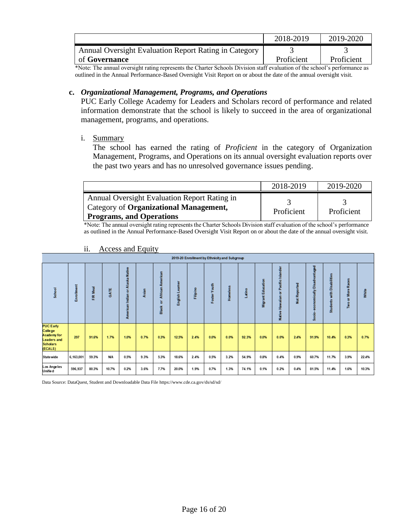|                                                       | 2018-2019  | 2019-2020  |
|-------------------------------------------------------|------------|------------|
| Annual Oversight Evaluation Report Rating in Category |            |            |
| of <b>Governance</b>                                  | Proficient | Proficient |

\*Note: The annual oversight rating represents the Charter Schools Division staff evaluation of the school's performance as outlined in the Annual Performance-Based Oversight Visit Report on or about the date of the annual oversight visit.

## **c.** *Organizational Management, Programs, and Operations*

PUC Early College Academy for Leaders and Scholars record of performance and related information demonstrate that the school is likely to succeed in the area of organizational management, programs, and operations.

## i. Summary

The school has earned the rating of *Proficient* in the category of Organization Management, Programs, and Operations on its annual oversight evaluation reports over the past two years and has no unresolved governance issues pending.

|                                                                                                                      | 2018-2019  | 2019-2020  |
|----------------------------------------------------------------------------------------------------------------------|------------|------------|
| Annual Oversight Evaluation Report Rating in<br>  Category of Organizational Management,<br>Programs, and Operations | Proficient | Proficient |

\*Note: The annual oversight rating represents the Charter Schools Division staff evaluation of the school's performance as outlined in the Annual Performance-Based Oversight Visit Report on or about the date of the annual oversight visit.

|                                                                                                |            |           |             |                                                               |           |                                       |                    |          |                 | 2019-20 Enrollment by Ethnicity and Subgroup |       |                      |                                                       |               |                              |                                           |                                     |       |
|------------------------------------------------------------------------------------------------|------------|-----------|-------------|---------------------------------------------------------------|-----------|---------------------------------------|--------------------|----------|-----------------|----------------------------------------------|-------|----------------------|-------------------------------------------------------|---------------|------------------------------|-------------------------------------------|-------------------------------------|-------|
| School                                                                                         | Enrollment | Meal<br>Æ | <b>GATE</b> | <b>Native</b><br>ska<br>而<br>ä<br>ă<br>Indian<br>而<br>America | sian<br>œ | merican<br>æ<br>African<br>৯<br>Black | eamer<br>English L | Filipino | Youth<br>Foster | <b>Homeless</b>                              | atino | Education<br>Migrant | Pacific Islander<br>×<br>운<br>$\overline{a}$<br>Nativ | Reported<br>ğ | aged<br>å<br>×<br>È<br>Socio | abilities<br>å<br>with<br><b>Students</b> | More Races<br>$\overline{5}$<br>Two | White |
| <b>PUC Early</b><br>College<br>Academy for<br><b>Leaders and</b><br><b>Scholars</b><br>(ECALS) | 297        | 91.6%     | 1.7%        | 1.0%                                                          | 0.7%      | 0.3%                                  | 12.5%              | 2.4%     | 0.0%            | 0.0%                                         | 92.3% | 0.0%                 | 0.0%                                                  | 2.4%          | 91.9%                        | 10.4%                                     | 0.3%                                | 0.7%  |
| <b>State wide</b>                                                                              | 6,163,001  | 59.3%     | <b>N/A</b>  | 0.5%                                                          | 9.3%      | 5.3%                                  | 18.6%              | 2.4%     | 0.5%            | 3.2%                                         | 54.9% | 0.8%                 | 0.4%                                                  | 0.9%          | 60.7%                        | 11.7%                                     | 3.9%                                | 22.4% |
| Los Angeles<br>Unifie d                                                                        | 596,937    | 80.3%     | 10.7%       | 0.2%                                                          | 3.6%      | 7.7%                                  | 20.0%              | 1.9%     | 0.7%            | 1.3%                                         | 74.1% | 0.1%                 | 0.2%                                                  | 0.4%          | 81.5%                        | 11.4%                                     | 1.6%                                | 10.3% |

## ii. Access and Equity

Data Source: DataQuest, Student and Downloadable Data File https://www.cde.ca.gov/ds/sd/sd/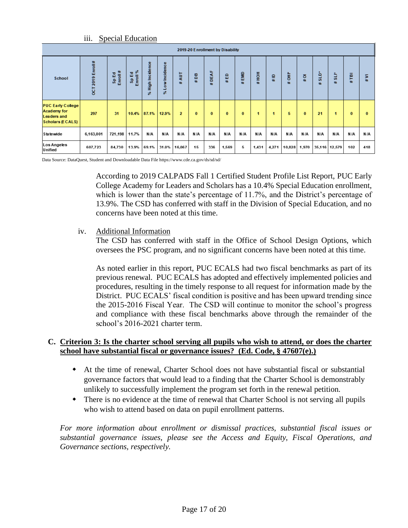| $\cdots$<br>111. | <b>Special Education</b> |
|------------------|--------------------------|
|                  |                          |

|                                                                                                 |                  |                            |                   |                      |                         |                |          |               | 2019-20 E nrollment by Disability |          |       |               |         |          |           |                  |          |              |
|-------------------------------------------------------------------------------------------------|------------------|----------------------------|-------------------|----------------------|-------------------------|----------------|----------|---------------|-----------------------------------|----------|-------|---------------|---------|----------|-----------|------------------|----------|--------------|
| School                                                                                          | OCT 2019 Enroll# | #<br>문<br>Sp Ed<br>Enroll: | Sp Ed<br>Enroll % | High Incidence<br>S. | ow Incidence<br>⊐<br>s. | Ę<br>#£        | #DB      | щ<br>DEA<br>辑 | 읎<br>旺                            | EMD<br>牡 | HOH#  | $\frac{1}{4}$ | 훟<br>#£ | ō<br>#   | sLD*<br>畢 | ∸<br>ت<br>S<br># | Ē<br>#E  | 5<br>#E      |
| <b>PUC Early College</b><br><b>Academy for</b><br><b>Leaders and</b><br><b>Scholars (ECALS)</b> | 297              | 31                         | 10.4%             | 87.1%                | 12.9%                   | $\overline{2}$ | $\bf{0}$ | $\bf{0}$      | $\bf{0}$                          | $\bf{0}$ | ٢     | 1             | 5       | $\bf{0}$ | 21        |                  | $\bf{0}$ | $\mathbf{0}$ |
| Statewide                                                                                       | 6,163,001        | 721,198                    | 11.7%             | N/A                  | N/A                     | N/A            | N/A      | N/A           | N/A                               | N/A      | N/A   | N/A           | N/A     | N/A      | N/A       | N/A              | N/A      | N/A          |
| Los Angeles<br>Unified                                                                          | 607,723          | 84,730                     | 13.9%             | 69.1%                | 31.0%                   | 16,067         | 15       | 336           | 1,569                             | 5        | 1,431 | 4,271         | 10,828  | 1,970    |           | 35,116 12,579    | 102      | 418          |

Data Source: DataQuest, Student and Downloadable Data File https://www.cde.ca.gov/ds/sd/sd/

According to 2019 CALPADS Fall 1 Certified Student Profile List Report, PUC Early College Academy for Leaders and Scholars has a 10.4% Special Education enrollment, which is lower than the state's percentage of 11.7%, and the District's percentage of 13.9%. The CSD has conferred with staff in the Division of Special Education, and no concerns have been noted at this time.

## iv. Additional Information

The CSD has conferred with staff in the Office of School Design Options, which oversees the PSC program, and no significant concerns have been noted at this time.

As noted earlier in this report, PUC ECALS had two fiscal benchmarks as part of its previous renewal. PUC ECALS has adopted and effectively implemented policies and procedures, resulting in the timely response to all request for information made by the District. PUC ECALS' fiscal condition is positive and has been upward trending since the 2015-2016 Fiscal Year. The CSD will continue to monitor the school's progress and compliance with these fiscal benchmarks above through the remainder of the school's 2016-2021 charter term.

## **C. Criterion 3: Is the charter school serving all pupils who wish to attend, or does the charter school have substantial fiscal or governance issues? (Ed. Code, § 47607(e).)**

- At the time of renewal, Charter School does not have substantial fiscal or substantial governance factors that would lead to a finding that the Charter School is demonstrably unlikely to successfully implement the program set forth in the renewal petition.
- There is no evidence at the time of renewal that Charter School is not serving all pupils who wish to attend based on data on pupil enrollment patterns.

*For more information about enrollment or dismissal practices, substantial fiscal issues or substantial governance issues, please see the Access and Equity, Fiscal Operations, and Governance sections, respectively.*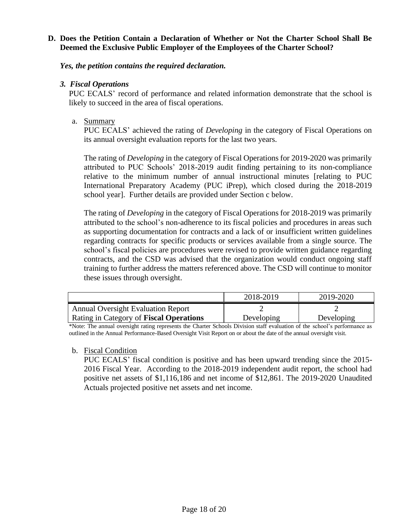## **D. Does the Petition Contain a Declaration of Whether or Not the Charter School Shall Be Deemed the Exclusive Public Employer of the Employees of the Charter School?**

*Yes, the petition contains the required declaration.*

## *3. Fiscal Operations*

PUC ECALS' record of performance and related information demonstrate that the school is likely to succeed in the area of fiscal operations.

# a. Summary

PUC ECALS' achieved the rating of *Developing* in the category of Fiscal Operations on its annual oversight evaluation reports for the last two years.

The rating of *Developing* in the category of Fiscal Operations for 2019-2020 was primarily attributed to PUC Schools' 2018-2019 audit finding pertaining to its non-compliance relative to the minimum number of annual instructional minutes [relating to PUC International Preparatory Academy (PUC iPrep), which closed during the 2018-2019 school year]. Further details are provided under Section c below.

The rating of *Developing* in the category of Fiscal Operations for 2018-2019 was primarily attributed to the school's non-adherence to its fiscal policies and procedures in areas such as supporting documentation for contracts and a lack of or insufficient written guidelines regarding contracts for specific products or services available from a single source. The school's fiscal policies are procedures were revised to provide written guidance regarding contracts, and the CSD was advised that the organization would conduct ongoing staff training to further address the matters referenced above. The CSD will continue to monitor these issues through oversight.

|                                                | 2018-2019  | 2019-2020  |
|------------------------------------------------|------------|------------|
| <b>Annual Oversight Evaluation Report</b>      |            |            |
| Rating in Category of <b>Fiscal Operations</b> | Developing | Developing |

\*Note: The annual oversight rating represents the Charter Schools Division staff evaluation of the school's performance as outlined in the Annual Performance-Based Oversight Visit Report on or about the date of the annual oversight visit.

## b. Fiscal Condition

PUC ECALS' fiscal condition is positive and has been upward trending since the 2015- 2016 Fiscal Year. According to the 2018-2019 independent audit report, the school had positive net assets of \$1,116,186 and net income of \$12,861. The 2019-2020 Unaudited Actuals projected positive net assets and net income.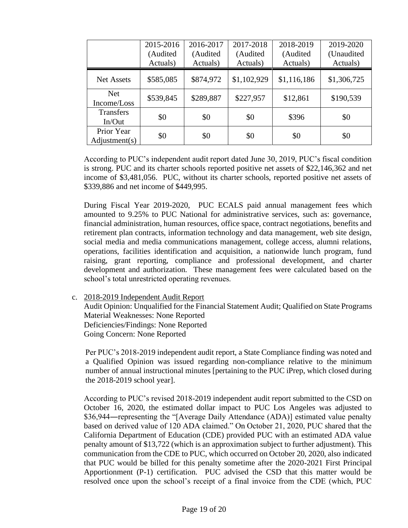|                             | 2015-2016<br>(Audited<br>Actuals) | 2016-2017<br>(Audited<br>Actuals) | 2017-2018<br>(Audited<br>Actuals) | 2018-2019<br>(Audited<br>Actuals) | 2019-2020<br>(Unaudited<br>Actuals) |
|-----------------------------|-----------------------------------|-----------------------------------|-----------------------------------|-----------------------------------|-------------------------------------|
| <b>Net Assets</b>           | \$585,085                         | \$874,972                         | \$1,102,929                       | \$1,116,186                       | \$1,306,725                         |
| <b>Net</b><br>Income/Loss   | \$539,845                         | \$289,887                         | \$227,957                         | \$12,861                          | \$190,539                           |
| <b>Transfers</b><br>In/Out  | \$0                               | \$0                               | \$0                               | \$396                             | \$0                                 |
| Prior Year<br>Adjustment(s) | \$0                               | \$0                               | \$0                               | \$0                               | \$0                                 |

According to PUC's independent audit report dated June 30, 2019, PUC's fiscal condition is strong. PUC and its charter schools reported positive net assets of \$22,146,362 and net income of \$3,481,056. PUC, without its charter schools, reported positive net assets of \$339,886 and net income of \$449,995.

During Fiscal Year 2019-2020, PUC ECALS paid annual management fees which amounted to 9.25% to PUC National for administrative services, such as: governance, financial administration, human resources, office space, contract negotiations, benefits and retirement plan contracts, information technology and data management, web site design, social media and media communications management, college access, alumni relations, operations, facilities identification and acquisition, a nationwide lunch program, fund raising, grant reporting, compliance and professional development, and charter development and authorization. These management fees were calculated based on the school's total unrestricted operating revenues.

c. 2018-2019 Independent Audit Report

Audit Opinion: Unqualified for the Financial Statement Audit; Qualified on State Programs Material Weaknesses: None Reported Deficiencies/Findings: None Reported Going Concern: None Reported

Per PUC's 2018-2019 independent audit report, a State Compliance finding was noted and a Qualified Opinion was issued regarding non-compliance relative to the minimum number of annual instructional minutes [pertaining to the PUC iPrep, which closed during the 2018-2019 school year].

According to PUC's revised 2018-2019 independent audit report submitted to the CSD on October 16, 2020, the estimated dollar impact to PUC Los Angeles was adjusted to \$36,944―representing the "[Average Daily Attendance (ADA)] estimated value penalty based on derived value of 120 ADA claimed." On October 21, 2020, PUC shared that the California Department of Education (CDE) provided PUC with an estimated ADA value penalty amount of \$13,722 (which is an approximation subject to further adjustment). This communication from the CDE to PUC, which occurred on October 20, 2020, also indicated that PUC would be billed for this penalty sometime after the 2020-2021 First Principal Apportionment (P-1) certification. PUC advised the CSD that this matter would be resolved once upon the school's receipt of a final invoice from the CDE (which, PUC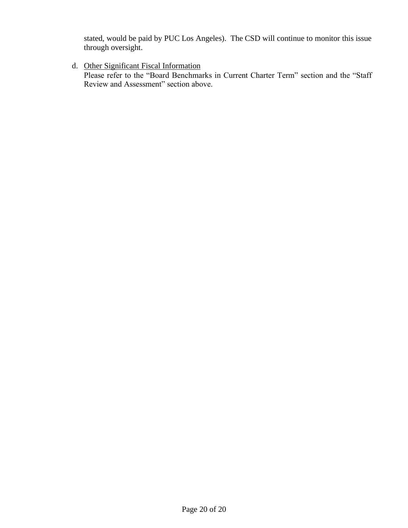stated, would be paid by PUC Los Angeles). The CSD will continue to monitor this issue through oversight.

d. Other Significant Fiscal Information

Please refer to the "Board Benchmarks in Current Charter Term" section and the "Staff Review and Assessment" section above.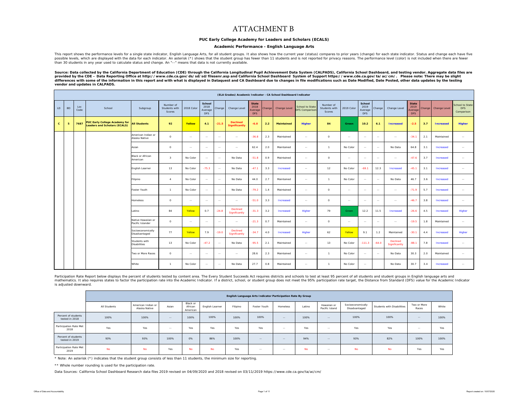## ATTACHMENT B

## **PUC Early College Academy for Leaders and Scholars (ECALS)**

### **Academic Performance - English Language Arts**

This report shows the performance levels for a single state indicator, English Language Arts, for all student groups. It also shows how the current year (status) compares to prior years (change) for each state indicator. S possible levels, which are displayed with the data for each indicator. An asterisk (\*) shows that the student group has fewer than 11 students and is not reported for privacy reasons. The performance level (color) is not i than 30 students in any year used to calculate status and change. An "--" means that data is not currently available.

Source: Data collected by the California Department of Education (CDE) through the California Longitudinal Pupil Achievement Data System (CALPADS), California School Dashboard, and testing vendor. Aggregate data files are *provided by the CDE – Data Reporting Office at http://www.cde.ca.gov/ds/sd/sd/filesenr.asp and California School Dashboard System of Support https://www.cde.ca.gov/ta/ac/cm/. Please note: There may be slight*  efferences with some of the information in this report and with what is displayed in Dataquest and CA Dashboard due to changes in file modifications such as Date Modified, Date Posted, other data updates by the testing *vendor and updates in CALPADS.* 

|              |           | (ELA Grades) Academic Indicator - CA School Dashboard Indicator |                                                                             |                                        |                                      |            |                                         |               |                                         |                                               |        |                     |                                          |                                      |            |                                  |         |                           |                                               |        |                  |                                      |
|--------------|-----------|-----------------------------------------------------------------|-----------------------------------------------------------------------------|----------------------------------------|--------------------------------------|------------|-----------------------------------------|---------------|-----------------------------------------|-----------------------------------------------|--------|---------------------|------------------------------------------|--------------------------------------|------------|----------------------------------|---------|---------------------------|-----------------------------------------------|--------|------------------|--------------------------------------|
| LD           | <b>BD</b> | Loc<br>Code                                                     | School                                                                      | Subgroup                               | Number of<br>Students with<br>Scores | 2018 Color | School<br>2018<br>Average<br><b>DFS</b> | Change        | Change Level                            | <b>State</b><br>2018<br>Average<br><b>DFS</b> | Change | <b>Change Level</b> | School to State<br><b>DFS Comparison</b> | Number of<br>Students with<br>Scores | 2019 Color | School<br>2019<br>Average<br>DFS | Change  | Change Level              | <b>State</b><br>2019<br>Average<br><b>DFS</b> | Change | Change Level     | School to State<br>DFS<br>Comparison |
| $\mathbf{c}$ | 5         | 7687                                                            | <b>PUC Early College Academy for</b><br><b>Leaders and Scholars (ECALS)</b> | <b>All Students</b>                    | 92                                   | Yellow     | 4.1                                     | $-21.5$       | <b>Declined</b><br><b>Significantly</b> | $-6.0$                                        | 2.2    | <b>Maintained</b>   | <b>Higher</b>                            | 84                                   | Green      | 10.2                             | 6.1     | <b>Increased</b>          | $-2.5$                                        | 3.7    | <b>Increased</b> | <b>Higher</b>                        |
|              |           |                                                                 |                                                                             | American Indian or<br>Alaska Native    | $\circ$                              | $\sim$     | $\sim$                                  | $\sim$        | $\sim$                                  | $-36.8$                                       | 2.3    | Maintained          | $\sim$                                   | $\circ$                              | $\sim$     | $\sim$                           | $\sim$  | $\sim$                    | $-34.1$                                       | 2.1    | Maintained       | $\sim$                               |
|              |           |                                                                 |                                                                             | Asian                                  | $\circ$                              | $\sim$     | $\sim$                                  | $\sim$ $\sim$ | $\sim$                                  | 62.4                                          | 2.0    | Maintained          | $\sim$                                   |                                      | No Color   | $\sim$                           | $\sim$  | No Data                   | 64.8                                          | 3.1    | Increased        | $\sim$                               |
|              |           |                                                                 |                                                                             | <b>Black or African</b><br>American    | $\mathbf{3}$                         | No Color   | $\sim$                                  | $\sim$        | No Data                                 | $-51.8$                                       | 0.9    | Maintained          | $\sim$                                   | $\circ$                              | $\sim$     | $\sim$                           | $\sim$  | $\sim$                    | $-47.6$                                       | 3.7    | Increased        | $\sim$                               |
|              |           |                                                                 |                                                                             | English Learner                        | 13                                   | No Color   | $-75.3$                                 | $\sim$        | No Data                                 | $-47.1$                                       | 3.3    | Increased           | $\sim$                                   | 12                                   | No Color   | $-69.1$                          | 12.3    | Increased                 | $-45.1$                                       | 3.1    | Increased        | $\sim$                               |
|              |           |                                                                 |                                                                             | Filipino                               | $\boldsymbol{A}$                     | No Color   | $\sim$                                  | $\sim$        | No Data                                 | 44.0                                          | 2.7    | Maintained          | $\sim$ $\sim$                            |                                      | No Color   | $\sim$                           | $\sim$  | No Data                   | 46.7                                          | 3.6    | Increased        | $\sim$ $\sim$                        |
|              |           |                                                                 |                                                                             | Foster Youth                           | $\mathbf{1}$                         | No Color   | $\sim$                                  | $\sim$        | No Data                                 | $-79.2$                                       | 1.4    | Maintained          | $\sim$                                   | $\circ$                              | $\sim$     | $\sim$                           | $\sim$  | $\sim$ $\sim$             | $-71.9$                                       | 5.7    | Increased        | $\sim$ $\sim$                        |
|              |           |                                                                 |                                                                             | Homeless                               | $\circ$                              | $\sim$     | $\sim$                                  | $\sim$        | $\sim$                                  | $-51.0$                                       | 3.3    | Increased           | $\sim$                                   | $\circ$                              | $\sim$     | $\sim$                           | $\sim$  | $\sim$                    | $-46.7$                                       | 3.8    | Increased        | $\sim$                               |
|              |           |                                                                 |                                                                             | Latino                                 | 84                                   | Yellow     | 0.7                                     | $-24.8$       | Declined<br>Significantly               | $-31.3$                                       | 3.2    | Increased           | Higher                                   | 79                                   | Green      | 12.2                             | 11.5    | Increased                 | $-26.6$                                       | 4.5    | Increased        | Higher                               |
|              |           |                                                                 |                                                                             | Native Hawaiian or<br>Pacific Islander | $\circ$                              | $\sim$     | $\sim$                                  | $\sim$        | $\sim$ $\sim$                           | $-21.3$                                       | 0.7    | Maintained          | $\sim$                                   | $\circ$                              | $\sim$     | $\sim$                           | $\sim$  | $\sim$ $\sim$             | $-19.5$                                       | 1.8    | Maintained       | $\sim$                               |
|              |           |                                                                 |                                                                             | Socioeconomically<br>Disadvantaged     | 77                                   | Yellow     | 7.9                                     | $-19.0$       | <b>Declined</b><br>Significantly        | $-34.7$                                       | 4.0    | Increased           | Higher                                   | 62                                   | Yellow     | 9.1                              | 1.2     | Maintained                | $-30.1$                                       | 4.4    | Increased        | Higher                               |
|              |           |                                                                 |                                                                             | Students with<br><b>Disabilities</b>   | 13                                   | No Color   | $-47.2$                                 | $\sim$        | No Data                                 | $-95.5$                                       | 2.1    | Maintained          | $\sim$                                   | 13                                   | No Color   | $-111.3$                         | $-64.0$ | Declined<br>Significantly | $-88.1$                                       | 7.8    | Increased        | $\sim$                               |
|              |           |                                                                 |                                                                             | Two or More Races                      | $\circ$                              | $\sim$     | $\sim$                                  | $\sim$ $\sim$ | $\sim$                                  | 28.6                                          | 2.3    | Maintained          | $\sim$                                   |                                      | No Color   | $\sim$                           | $\sim$  | No Data                   | 30.3                                          | 2.0    | Maintained       | $\sim$                               |
|              |           |                                                                 |                                                                             | White                                  | $\overline{1}$                       | No Color   | $\sim$                                  | $\sim$        | No Data                                 | 27.7                                          | 0.8    | Maintained          | $\sim$                                   | $\overline{1}$                       | No Color   | $\sim$                           |         | No Data                   | 30.7                                          | 3.4    | Increased        | $\sim$ $\sim$                        |

Participation Rate Report below displays the percent of students tested by content area. The Every Student Succeeds Act requires districts and schools to test at least 95 percent of all students and student groups in Engli is adjusted downward.

|                                       |              |                                     |        |                                 |                 |          | English Language Arts Indicator Participation Rate By Group |            |           |                               |                                    |                            |                      |       |
|---------------------------------------|--------------|-------------------------------------|--------|---------------------------------|-----------------|----------|-------------------------------------------------------------|------------|-----------|-------------------------------|------------------------------------|----------------------------|----------------------|-------|
|                                       | All Students | American Indian or<br>Alaska Native | Asian  | Black or<br>African<br>American | English Learner | Filipino | Foster Youth                                                | Homeless   | Latino    | Hawaiian or<br>Pacific Island | Socioeconomically<br>Disadvantaged | Students with Disabilities | Two or More<br>Races | White |
| Percent of students<br>tested in 2018 | 100%         | 100%                                | $-$    | 100%                            | 100%            | 100%     | 100%                                                        | $\sim$ $-$ | 100%      | $\sim$ $-$                    | 100%                               | 100%                       | $\sim$ $-$           | 100%  |
| Participation Rate Met<br>2018        | Yes          | Yes                                 | $\sim$ | Yes                             | Yes             | Yes      | Yes                                                         | $\sim$ $-$ | Yes       | $-1$                          | Yes                                | Yes                        | $\sim$ $-$           | Yes   |
| Percent of students<br>tested in 2019 | 93%          | 93%                                 | 100%   | 0%                              | 86%             | 100%     | $-$                                                         | $\sim$     | 94%       | $\sim$ $-$                    | 93%                                | 82%                        | 100%                 | 100%  |
| Participation Rate Met<br>2019        | <b>No</b>    | <b>No</b>                           | Yes    | <b>No</b>                       | <b>No</b>       | Yes      | $\sim$                                                      | $\sim$ $-$ | <b>No</b> | $\sim$ $-$                    | <b>No</b>                          | <b>No</b>                  | Yes                  | Yes   |

\* Note: An asterisk (\*) indicates that the student group consists of less than 11 students, the minimum size for reporting.

\*\* Whole number rounding is used for the participation rate.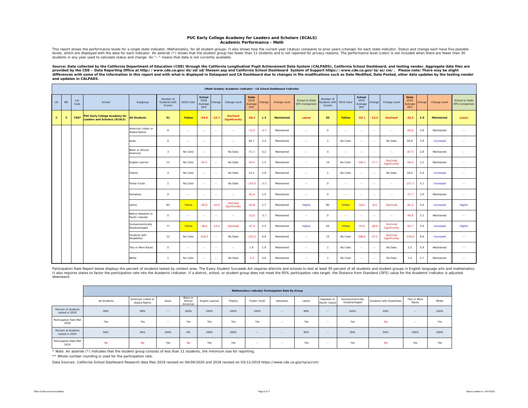### **PUC Early College Academy for Leaders and Scholars (ECALS) Academic Performance - Math**

This report shows the performance levels for a single state indicator, Mathematics, for all student groups. It also shows how the current year (status) compares to prior years (change) for each state indicator. Status and every which are displayed with the data for each indicator. An asterisk (\*) shows that the student spout-way which are than 11 students and is not reported for privacy reasons. The performance level (color) is not included students in any year used to calculate status and change. An "--" means that data is not currently available.

Source: Data collected by the California Department of Education (CDE) through the California Longitudinal Pupil Achievement Data System (CALPADS), California School Dashboard, and testing vendor. Aggregate data files are *provided by the CDE – Data Reporting Office at http://www.cde.ca.gov/ds/sd/sd/filesenr.asp and California School Dashboard System of Support https://www.cde.ca.gov/ta/ac/cm/. Please note: There may be slight*  differences with some of the information in this report and with what is displayed in Dataquest and CA Dashboard due to changes in file modifications such as Date Modified, Date Posted, other data updates by the testing ve *and updates in CALPADS.* 

|              | (Math Grades) Academic Indicator - CA School Dashboard Indicator |             |                                                                             |                                        |                                      |            |                                         |            |                                         |                                               |        |                   |                                   |                                      |               |                                         |               |                           |                                               |        |                   |                                   |
|--------------|------------------------------------------------------------------|-------------|-----------------------------------------------------------------------------|----------------------------------------|--------------------------------------|------------|-----------------------------------------|------------|-----------------------------------------|-----------------------------------------------|--------|-------------------|-----------------------------------|--------------------------------------|---------------|-----------------------------------------|---------------|---------------------------|-----------------------------------------------|--------|-------------------|-----------------------------------|
| LD           | <b>BD</b>                                                        | Loc<br>Code | School                                                                      | Subgroup                               | Number of<br>Students with<br>Scores | 2018 Color | School<br>2018<br>Average<br><b>DFS</b> | Change     | Change Level                            | <b>State</b><br>2018<br>Average<br><b>DFS</b> | Change | Change Level      | School to State<br>DFS Comparison | Number of<br>students with<br>Scores | 2019 Color    | School<br>2019<br>Average<br><b>DFS</b> | Change        | Change Level              | <b>State</b><br>2019<br>Average<br><b>DFS</b> | Change | Change Level      | School to State<br>DFS Comparison |
| $\mathbf{c}$ | 5                                                                | 7687        | <b>PUC Early College Academy for</b><br><b>Leaders and Scholars (ECALS)</b> | <b>All Students</b>                    | 91                                   | Yellow     | $-39.8$                                 | $-15.7$    | <b>Declined</b><br><b>Significantly</b> | $-36.4$                                       | 1.3    | <b>Maintained</b> | Lower                             | 85                                   | Yellow        | $-53.1$                                 | $-13.3$       | <b>Declined</b>           | $-33.5$                                       | 2.9    | <b>Maintained</b> | Lower                             |
|              |                                                                  |             |                                                                             | American Indian or<br>Alaska Native    | $\circ$                              | $\sim$     | $\sim$                                  | $\sim$     | $\sim$ $\sim$                           | $-73.0$                                       | $-0.7$ | Maintained        | $\sim$                            | $\circ$                              | $\sim$        | $\sim$                                  | $\sim$        | $\sim$                    | $-69.6$                                       | 2.8    | Maintained        | $\sim$                            |
|              |                                                                  |             |                                                                             | Asian                                  | $\circ$                              | $\sim$     | $\sim$                                  | $\sim$     | $\sim$                                  | 56.7                                          | 2.4    | Maintained        | $\sim$                            | $\overline{1}$                       | No Color      | $\sim$                                  | $\sim$        | No Data                   | 59.8                                          | 3.9    | Increased         | $\sim$                            |
|              |                                                                  |             |                                                                             | Black or African<br>American           | $\mathbf{R}$                         | No Color   | $\sim$                                  | $\sim$     | No Data                                 | $-91.5$                                       | 0.2    | Maintained        | $\sim$                            | $\circ$                              | $\sim$ $-$    | $\sim$                                  | $\sim$        | $\sim$ $-$                | $-87.9$                                       | 2.8    | Maintained        | $\sim$                            |
|              |                                                                  |             |                                                                             | English Learner                        | 13                                   | No Color   | $-95.5$                                 | $\sim$     | No Data                                 | $-69.9$                                       | 1.5    | Maintained        | $\sim$                            | 14                                   | No Color      | $-166.2$                                | $-72.7$       | Declined<br>Significantly | $-68.6$                                       | 2.2    | Maintained        | $\sim$                            |
|              |                                                                  |             |                                                                             | Filipino                               | $\overline{4}$                       | No Color   | $\sim$                                  | $\sim$     | No Data                                 | 13.1                                          | 2.8    | Maintained        | $\sim$                            | $\overline{1}$                       | No Color      | $\sim$                                  | $\sim$ $-$    | No Data                   | 18.0                                          | 5.6    | Increased         | $\sim$                            |
|              |                                                                  |             |                                                                             | Foster Youth                           | $\overline{1}$                       | No Color   | $\sim$                                  | $\sim$     | No Data                                 | $-114.0$                                      | $-0.5$ | Maintained        | $\sim$                            | $\circ$                              | $\sim$        | $\sim$                                  | $\sim$        | $\sim$ $-$                | $-107.2$                                      | 5.1    | Increased         | $\sim$                            |
|              |                                                                  |             |                                                                             | <b>Homeless</b>                        | $\circ$                              | $\sim$     | $\sim$                                  | $\sim$     | $\sim$                                  | $-81.0$                                       | 1.5    | Maintained        | $\sim$                            | $\circ$                              | $\sim$        | $\sim$ $\sim$                           | $\sim$        | $\sim$                    | $-77.7$                                       | 2.9    | Maintained        | $\sim$                            |
|              |                                                                  |             |                                                                             | atino                                  | 83                                   | Yellow     | $-40.9$                                 | $-16.0$    | <b>Declined</b><br>Significantly        | $-65.8$                                       | 1.7    | Maintained        | Higher                            | 80                                   | Yellow        | $-50.2$                                 | $-9.3$        | Declined                  | $-62.2$                                       | 3.4    | Increased         | Higher                            |
|              |                                                                  |             |                                                                             | Native Hawaiian or<br>Pacific Islander | $\circ$                              | $\sim$     | $\sim$                                  | $\sim$ $-$ | $\sim$                                  | $-52.0$                                       | $-0.7$ | Maintained        | $\sim$                            | $\circ$                              | $\sim$ $\sim$ | $\sim$                                  | $\sim$ $\sim$ | $\sim$                    | $-49.8$                                       | 2.1    | Maintained        | $\sim$                            |
|              |                                                                  |             |                                                                             | Socioeconomically<br>Disadvantaged     | 77                                   | Yellow     | $-36.6$                                 | $-13.4$    | Declined                                | $-67.4$                                       | 2.3    | Maintained        | Higher                            | 63                                   | Yellow        | $-55.5$                                 | $-18.9$       | Declined<br>Significantly | $-63.7$                                       | 3.4    | Increased         | Higher                            |
|              |                                                                  |             |                                                                             | Students with<br><b>Disabilities</b>   | 12                                   | No Color   | $-142.4$                                | $\sim$     | No Data                                 | $-125.3$                                      | 0.8    | Maintained        | $\sim$                            | 15                                   | No Color      | $-189.6$                                | $-47.2$       | Declined<br>Significantly | $-119.4$                                      | 6.6    | Increased         | $\sim$                            |
|              |                                                                  |             |                                                                             | Two or More Races                      | $\circ$                              | $\sim$     | $\sim$                                  | $\sim$     | $\sim$                                  | 1.9                                           | 1.9    | Maintained        | $\sim$                            | $\overline{1}$                       | No Color      | $\sim$                                  | $\sim$        | No Data                   | 2.5                                           | 0.9    | Maintained        | $\sim$                            |
|              |                                                                  |             |                                                                             | White                                  | $\overline{1}$                       | No Color   | $\sim$                                  | $\sim$     | No Data                                 | $-1.0$                                        | 0.6    | Maintained        | $\sim$                            | $\overline{1}$                       | No Color      | $\sim$                                  | $\sim$        | No Data                   | 1.4                                           | 2.7    | Maintained        | $\sim$                            |

Participation Rate Report below displays the percent of students tested by content area. The Every Student Succeeds Act requires districts and schools to test at least 95 percent of all students and student groups in Engli It also requires states to factor the participation rate into the Academic Indicator. If a district, school, or student group does not meet the 95% participation rate target, the Distance from Standard (DFS) value for the downward.

|                                       |              |                                     |       |                                 |                 |          | Mathematics Indicator Participation Rate By Group |          |        |                               |                                    |                            |                      |       |
|---------------------------------------|--------------|-------------------------------------|-------|---------------------------------|-----------------|----------|---------------------------------------------------|----------|--------|-------------------------------|------------------------------------|----------------------------|----------------------|-------|
|                                       | All Students | American Indian or<br>Alaska Native | Asian | Black or<br>African<br>American | English Learner | Filipino | Foster Youth                                      | Homeless | Latino | Hawaiian or<br>Pacific Island | Socioeconomically<br>Disadvantaged | Students with Disabilities | Two or More<br>Races | White |
| Percent of students<br>tested in 2018 | 99%          | 99%                                 | $-$   | 100%                            | 100%            | 100%     | 100%                                              | $-$      | 99%    | $\sim$                        | 100%                               | 93%                        | $-$                  | 100%  |
| Participation Rate Met<br>2018        | Yes          | Yes                                 | $-$   | Yes                             | Yes             | Yes      | Yes                                               | $-$      | Yes    | $\sim$                        | Yes                                | No                         | $\sim$               | Yes   |
| Percent of students<br>tested in 2019 | 94%          | 94%                                 | 100%  | 0%                              | 100%            | 100%     | $\sim$ $\sim$                                     | $-$      | 95%    | $\sim$ $-$                    | 95%                                | 94%                        | 100%                 | 100%  |
| Participation Rate Met<br>2019        | No           | <b>No</b>                           | Yes   | No                              | Yes             | Yes      | $\sim$ $\sim$                                     | --       | Yes    | $\sim$ $-$                    | Yes                                | <b>No</b>                  | Yes                  | Yes   |

\* Note: An asterisk (\*) indicates that the student group consists of less than 11 students, the minimum size for reporting.

\*\* Whole number rounding is used for the participation rate.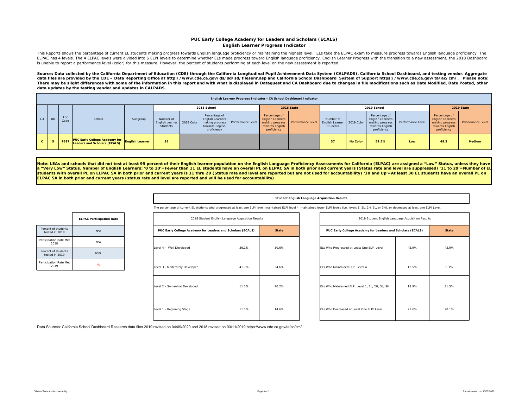## **PUC Early College Academy for Leaders and Scholars (ECALS) English Learner Progress Indicator**

This Reports shows the percentage of current EL students making progress towards English language proficiency or maintaining the highest level. ELs take the ELPAC exam to measure progress towards English language proficien ELPAC has 4 levels. The 4 ELPAC levels were divided into 6 ELPI levels to determine whether ELs made progress toward English language proficiency. English Learner Progress with the transition to a new assessment, the 2018 is unable to report a performance level (color) for this measure. However, the percent of students performing at each level on the new assessment is reported.

Source: Data collected by the California Department of Education (CDE) through the California Longitudinal Pupil Achievement Data System (CALPADS), California School Dashboard, and testing vendor. Aggregate data files are provided by the CDE - Data Reporting Office at http://www.cde.ca.gov/ds/sd/sd/filesenr.asp and California School Dashboard System of Support https://www.cde.ca.gov/ta/ac/cm/. Please note: *There may be slight differences with some of the information in this report and with what is displayed in Dataquest and CA Dashboard due to changes in file modifications such as Date Modified, Date Posted, other data updates by the testing vendor and updates in CALPADS.* 

|              |           |             |                                                                      |                        |                                                       |                                                                            | English Learner Progress Indicator - CA School Dashboard Indicator |                                                                                               |                   |                                                     |                 |                                                                                               |                   |                                                                                               |                   |
|--------------|-----------|-------------|----------------------------------------------------------------------|------------------------|-------------------------------------------------------|----------------------------------------------------------------------------|--------------------------------------------------------------------|-----------------------------------------------------------------------------------------------|-------------------|-----------------------------------------------------|-----------------|-----------------------------------------------------------------------------------------------|-------------------|-----------------------------------------------------------------------------------------------|-------------------|
|              |           |             |                                                                      |                        |                                                       | 2018 School                                                                |                                                                    |                                                                                               | 2018 State        |                                                     |                 | 2019 School                                                                                   |                   |                                                                                               | 2019 State        |
| LD.          | <b>BD</b> | Loc<br>Code | School                                                               | Subgroup               | Number of<br>English Learner   2018 Color<br>Students | Percentage of<br><b>English Learners</b><br>towards English<br>proficiency | making progress Performance Level                                  | Percentage of<br><b>English Learners</b><br>making progress<br>towards English<br>proficiency | Performance Level | Number of<br>English Learner 2019 Color<br>Students |                 | Percentage of<br><b>English Learners</b><br>making progress<br>towards English<br>proficiency | Performance Level | Percentage of<br><b>English Learners</b><br>making progress<br>towards English<br>proficiency | Performance Level |
| $\mathbf{c}$ |           | 7687        | <b>PUC Early College Academy for</b><br>Leaders and Scholars (ECALS) | <b>English Learner</b> | 36                                                    |                                                                            |                                                                    |                                                                                               |                   | 37                                                  | <b>No Color</b> | 59.5%                                                                                         | Low               | 48.3                                                                                          | <b>Medium</b>     |

Note: LEAs and schools that did not test at least 95 percent of their English learner population on the English Language Proficiency Assessments for California (ELPAC) are assigned a "Low" Status, unless they have a "Very Low" Status. Number of English Learners: '0 to 10'=Fewer than 11 EL students have an overall PL on ELPAC SA in both prior and current years (Status rate and level are suppressed) '11 to 29'=Number of EL **students with overall PL on ELPAC SA in both prior and current years is 11 thru 29 (Status rate and level are reported but are not used for accountability) '30 and Up'=At least 30 EL students have an overall PL on ELPAC SA in both prior and current years (status rate and level are reported and will be used for accountability)** 

#### **Student English Language Acquisition Results**

The percentage of current EL students who progressed at least one ELPI level, maintained ELPI level 4, maintained lower ELPI level (i.e, levels 1, 2L, 2H, 3L, or 3H), or decreased at least one ELPI Level.

|                                       | <b>ELPAC Participation Rate</b> |
|---------------------------------------|---------------------------------|
| Percent of students<br>tested in 2018 | N/A                             |
| Participation Rate Met<br>2018        | N/A                             |
| Percent of students<br>tested in 2019 | 93%                             |
| Participation Rate Met<br>2019        | No                              |

| 2018 Student English Language Acquisition Results          |       |              | 2019 Student English Language Acquisition Results          |       |              |
|------------------------------------------------------------|-------|--------------|------------------------------------------------------------|-------|--------------|
| PUC Early College Academy for Leaders and Scholars (ECALS) |       | <b>State</b> | PUC Early College Academy for Leaders and Scholars (ECALS) |       | <b>State</b> |
| Level 4 - Well Developed                                   | 36.1% | 30.6%        | ELs Who Progressed at Least One ELPI Level                 | 45.9% | 42.9%        |
| Level 3 - Moderately Developed                             | 41.7% | 34.6%        | ELs Who Maintained ELPI Level 4                            | 13.5% | 5.3%         |
| Level 2 - Somewhat Developed                               | 11.1% | 20.2%        | ELs Who Maintained ELPI Level 1, 2L, 2H, 3L, 3H            | 18.9% | 31.5%        |
| Level 1 - Beginning Stage                                  | 11.1% | 14.6%        | ELs Who Decreased at Least One ELPI Level                  | 21.6% | 20.1%        |

| 2019 Student English Language Acquisition Results          |       |              |
|------------------------------------------------------------|-------|--------------|
| PUC Early College Academy for Leaders and Scholars (ECALS) |       | <b>State</b> |
| ELs Who Progressed at Least One ELPI Level                 | 45.9% | 42.9%        |
| ELs Who Maintained ELPI Level 4                            | 13.5% | 5.3%         |
| ELs Who Maintained ELPI Level 1, 2L, 2H, 3L, 3H            | 18.9% | 31.5%        |
| FLs Who Decreased at Least One FLPL Level                  | 21.6% | 20.1%        |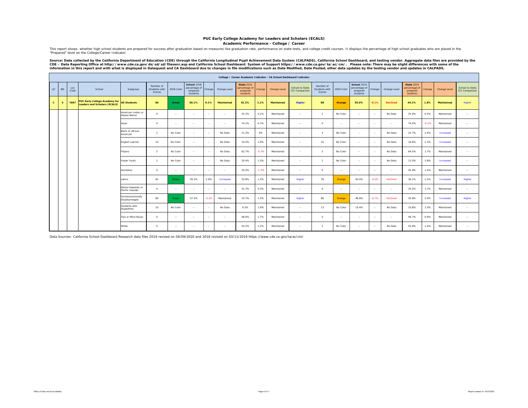## **PUC Early College Academy for Leaders and Scholars (ECALS)**

**Academic Performance - College / Career**

This report shows whether high school students are prepared for success after graduation based on measures like graduation rate, performance on state tests, and college credit courses. It displays the percentage of high sc "Prepared" level on the College/Career Indicator.

Source: Data collected by the California Department of Education (CDE) through the California Longitudinal Pupil Achievement Data System (CALPADS), California School Dashboard, and testing vendor. Aggregate data files are

|              |           |             |                                                                             |                                        |                                      |               |                                                      |         |                   |                                                            |         | College / Career Academic Indicator - CA School Dashboard Indicator |                                                 |                                      |            |                                                      |               |                 |                                                            |         |              |                                   |
|--------------|-----------|-------------|-----------------------------------------------------------------------------|----------------------------------------|--------------------------------------|---------------|------------------------------------------------------|---------|-------------------|------------------------------------------------------------|---------|---------------------------------------------------------------------|-------------------------------------------------|--------------------------------------|------------|------------------------------------------------------|---------------|-----------------|------------------------------------------------------------|---------|--------------|-----------------------------------|
| LD           | <b>BD</b> | Loc<br>Code | School                                                                      | Subgroup                               | Number of<br>Students with<br>Scores | 2018 Color    | School 2018<br>percentage of<br>prepared<br>students | Change  | Change Level      | <b>State 2018</b><br>percentage of<br>prepared<br>students | Change  | Change Level                                                        | <b>School to State</b><br><b>CCI Comparison</b> | Number of<br>Students with<br>Scores | 2019 Color | School 2019<br>percentage of<br>prepared<br>students | Change        | Change Level    | <b>State 2019</b><br>percentage of<br>prepared<br>students | Change  | Change Level | School to State<br>CCI Comparison |
| $\mathbf{c}$ | 5         | 7687        | <b>PUC Early College Academy for</b><br><b>Leaders and Scholars (ECALS)</b> | <b>Ill Students</b>                    | 86                                   | Green         | 58.1%                                                | 0.1%    | <b>Maintained</b> | 42.2%                                                      | 1.1%    | <b>Maintained</b>                                                   | Higher                                          | 88                                   | Orange     | 50.0%                                                | $-8.1%$       | <b>Declined</b> | 44.1%                                                      | 1.8%    | Maintained   | Higher                            |
|              |           |             |                                                                             | American Indian or<br>Alaska Native    | $\circ$                              | $\sim$        | $\sim$ $\sim$                                        | $\sim$  | $\sim$            | 25.2%                                                      | 0.1%    | Maintained                                                          | $\sim$ $\sim$                                   | $\mathbf{1}$                         | No Color   | $\sim$ $\sim$                                        | $\sim$        | No Data         | 25.9%                                                      | 0.5%    | Maintained   | $\sim$                            |
|              |           |             |                                                                             | Asian                                  | $\circ$                              | $\cdots$      | $\sim$                                               | $\sim$  | $\cdots$          | 74.1%                                                      | 0.7%    | Maintained                                                          | $\sim$                                          | $^{\circ}$                           | $\sim$     | $\sim$ $\sim$                                        | $\sim$        | $\cdots$        | 74.0%                                                      | $-0.2%$ | Maintained   | $\cdots$                          |
|              |           |             |                                                                             | <b>Black or African</b><br>American    | $\overline{2}$                       | No Color      | $\sim$                                               | $\sim$  | No Data           | 21.2%                                                      | 0%      | Maintained                                                          | $\sim$ $\sim$                                   | $\overline{\mathbf{3}}$              | No Color   | $\sim$                                               | $\sim$        | No Data         | 23.7%                                                      | 2.4%    | Increased    | $\cdots$                          |
|              |           |             |                                                                             | English Learner                        | 10                                   | No Color      | $\sim$ $\sim$                                        | $\sim$  | No Data           | 14.5%                                                      | 1.9%    | Maintained                                                          | <b>Service</b>                                  | 10                                   | No Color   | $\sim$                                               | $\sim$        | No Data         | 16.8%                                                      | 2.1%    | Increased    | $\sim$                            |
|              |           |             |                                                                             | Filipino                               | $\overline{2}$                       | No Color      | $\sim$ $\sim$                                        | $\sim$  | No Data           | 62.7%                                                      | $-0.3%$ | Maintained                                                          | <b>Service</b>                                  | -5                                   | No Color   | $\sim$ $\sim$                                        | $\sim$ $\sim$ | No Data         | 64.5%                                                      | 1.7%    | Maintained   | $\cdots$                          |
|              |           |             |                                                                             | Foster Youth                           | $\rightarrow$                        | No Color      | $\sim$ $\sim$                                        | $\sim$  | No Data           | 10.4%                                                      | 1.3%    | Maintained                                                          | <b>Service</b>                                  |                                      | No Color   | $\sim$                                               | $\sim$        | No Data         | 13.3%                                                      | 2.8%    | Increased    | $\sim$                            |
|              |           |             |                                                                             | Homeless                               | $\circ$                              | $\sim$ $\sim$ | $\sim$ $\sim$                                        | $\sim$  | $\sim$            | 24.3%                                                      | $-1.3%$ | Maintained                                                          | $\sim$                                          | $\circ$                              | $\sim$     | $\sim$ $\sim$                                        | $\sim$ $\sim$ | $\sim$          | 25.9%                                                      | 1.4%    | Maintained   | $\cdots$                          |
|              |           |             |                                                                             | atino                                  | 81                                   | Green         | 59.3%                                                | 2.9%    | Increased         | 33.8%                                                      | 1.2%    | Maintained                                                          | Higher                                          | 78                                   | Orange     | 50.0%                                                | $-9.3%$       | Declined        | 36.1%                                                      | 2.2%    | Increased    | Higher                            |
|              |           |             |                                                                             | Native Hawaiian or<br>Pacific Islander | $\circ$                              | $\sim$ $\sim$ | $\sim$                                               | $\sim$  | $\sim$            | 31.7%                                                      | 0.5%    | Maintained                                                          | $\sim$ $\sim$                                   | $\circ$                              | $\sim$     | $\sim$ $\sim$                                        | $\sim$ $\sim$ | $\cdots$        | 33.5%                                                      | 1.7%    | Maintained   | $\cdots$                          |
|              |           |             |                                                                             | Socioeconomically<br>Disadvantaged     | 80                                   | Green         | 57.5%                                                | $-0.2%$ | Maintained        | 33.7%                                                      | 1.5%    | Maintained                                                          | Higher                                          | 86                                   | Orange     | 48.8%                                                | $-8.7%$       | Declined        | 35.8%                                                      | 2.0%    | Increased    | Higher                            |
|              |           |             |                                                                             | Students with<br><b>Disabilities</b>   | 10                                   | No Color      | $\sim$                                               | $\sim$  | No Data           | 9.2%                                                       | 1.9%    | Maintained                                                          | $\sim$                                          | 13                                   | No Color   | 15.4%                                                | $\sim$        | No Data         | 10.8%                                                      | 1.5%    | Maintained   | $\cdots$                          |
|              |           |             |                                                                             | Two or More Races                      | $\circ$                              | $\sim$        | $\sim$                                               | $\sim$  | $\sim$            | 48.6%                                                      | 1.7%    | Maintained                                                          | $\sim$ $\sim$                                   | $^{\circ}$                           | $\sim$     | $\sim$                                               | $\sim$        | $\sim$          | 49.7%                                                      | 0.9%    | Maintained   | $\cdots$                          |
|              |           |             |                                                                             | White                                  | $\circ$                              | $\cdots$      | $\sim$                                               | $\sim$  | $\sim$            | 52.2%                                                      | 1.2%    | Maintained                                                          | $\sim$                                          |                                      | No Color   | $\sim$                                               | $\sim$        | No Data         | 53.8%                                                      | 1.4%    | Maintained   | $\cdots$                          |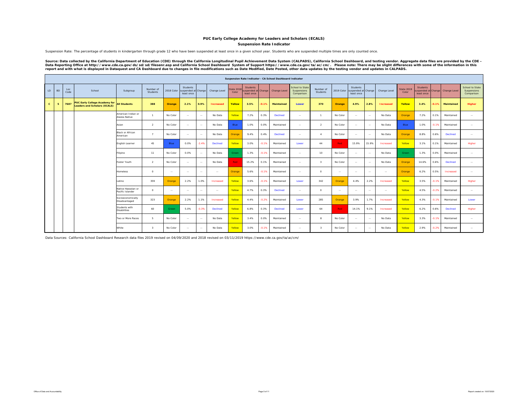## **PUC Early College Academy for Leaders and Scholars (ECALS)**

**Suspension Rate Indicator**

Suspension Rate: The percentage of students in kindergarten through grade 12 who have been suspended at least once in a given school year. Students who are suspended multiple times are only counted once.

Source: Data collected by the California Department of Education (CDE) through the California Longitudinal Pupil Achievement Data System (CALPADS), California School Dashboard, and testing vendor. Aggregate data files are

|                        |           |             |                                                                      |                                        |                         |               |                                               |               |                 |                    |                                                      |         | Suspension Rate Indicator - CA School Dashboard Indicator |                                                     |                       |               |                                               |               |                  |                            |                                                     |         |              |                                              |
|------------------------|-----------|-------------|----------------------------------------------------------------------|----------------------------------------|-------------------------|---------------|-----------------------------------------------|---------------|-----------------|--------------------|------------------------------------------------------|---------|-----------------------------------------------------------|-----------------------------------------------------|-----------------------|---------------|-----------------------------------------------|---------------|------------------|----------------------------|-----------------------------------------------------|---------|--------------|----------------------------------------------|
| $\mathsf{L}\mathsf{D}$ | <b>BD</b> | Loc<br>Code | School                                                               | Subgroup                               | Number of<br>Students   | 2018 Color    | Students<br>suspended at Change<br>least once |               | Change Level    | State 201<br>Color | <b>Students</b><br>suspended at Change<br>least once |         | Change Level                                              | <b>School to State</b><br>Suspensions<br>Comparison | Number of<br>Students | 2019 Color    | Students<br>suspended at Change<br>least once |               | Change Level     | <b>State 2019</b><br>Color | <b>Students</b><br>uspended at Change<br>least once |         | Change Level | School to State<br>Suspensions<br>Comparison |
| $\mathbf{c}$           | -5        | 7687        | <b>PUC Early College Academy for</b><br>Leaders and Scholars (ECALS) | <b>All Students</b>                    | 388                     | Orange        | 2.1%                                          | 0.9%          | Increased       | Yellow             | 3.5%                                                 | $-0.1%$ | Maintained                                                | Lower                                               | 370                   | Orange        | 4.9%                                          | 2.8%          | <b>Increased</b> | Yellow                     | 3.4%                                                | 0.1%    | Maintained   | Higher                                       |
|                        |           |             |                                                                      | American Indian or<br>Alaska Native    | -1                      | No Color      | $\cdots$                                      | $\sim$        | No Data         | Yellow             | 7.2%                                                 | 0.3%    | <b>Declined</b>                                           | $\sim$                                              | $\mathbf{1}$          | No Color      | $\sim$                                        | $\sim$        | No Data          | Orange                     | 7.2%                                                | 0.1%    | Maintained   | $\sim$                                       |
|                        |           |             |                                                                      | Asian                                  | $\overline{2}$          | No Color      | $\cdots$                                      | $\sim$ $\sim$ | No Data         | Blue               | 1.0%                                                 | 0.0%    | Maintained                                                | $\sim$                                              | $\overline{2}$        | No Color      | $\sim$                                        | $\sim$        | No Data          | Blue                       | 1.0%                                                | $-0.1%$ | Maintained   | $\sim$                                       |
|                        |           |             |                                                                      | Black or African<br>American           | $\overline{ }$          | No Color      | $\sim$                                        | $\sim$ $\sim$ | No Data         | Orange             | 9.4%                                                 | 0.4%    | <b>Declined</b>                                           | $\sim$ $\sim$                                       | $\mathbf{A}$          | No Color      | $\sim$ $\sim$                                 | $\sim$ $\sim$ | No Data          | Orange                     | 8.8%                                                | 0.6%    | Declined     | $\sim$                                       |
|                        |           |             |                                                                      | English Learner                        | 45                      | Blue          | 0.0%                                          | $-2.4%$       | <b>Declined</b> | Yellow             | 3.0%                                                 | $-0.1%$ | Maintained                                                | Lower                                               | 44                    | Red           | 15.9%                                         | 15.9%         | Increased        | Yellow                     | 3.1%                                                | 0.1%    | Maintained   | Higher                                       |
|                        |           |             |                                                                      | Filipino                               | 11                      | No Color      | 0.0%                                          | $\sim$        | No Data         | Green              | 1.3%                                                 | $-0.1%$ | Maintained                                                | $\sim$                                              | 10                    | No Color      | $\sim$                                        | $\sim$        | No Data          | Green                      | 1.3%                                                | 0.0%    | Maintained   | $\sim$                                       |
|                        |           |             |                                                                      | Foster Youth                           | $\overline{2}$          | No Color      | $\cdots$                                      | $\sim$ $\sim$ | No Data         | Red                | 15.2%                                                | 0.1%    | Maintained                                                | $\sim$ $\sim$                                       | $\mathcal{R}$         | No Color      | $\sim$                                        | $\sim$        | No Data          | Orange                     | 14.6%                                               | 0.6%    | Declined     | $\sim$                                       |
|                        |           |             |                                                                      | <b>Homeless</b>                        | $\circ$                 | $\sim$        | $\sim$                                        | $\sim$ $\sim$ | $\sim$          | Orange             | 5.6%                                                 | $-0.1%$ | Maintained                                                | $\sim$ $\sim$                                       | $\circ$               | $\sim$        | $\sim$                                        | $\sim$        | $\sim$           | Orange                     | 6.2%                                                | 0.5%    | Increased    | $\sim$                                       |
|                        |           |             |                                                                      | Latino                                 | 359                     | Orange        | 2.2%                                          | 1.0%          | Increased       | Yellow             | 3.6%                                                 | $-0.1%$ | Maintained                                                | Lower                                               | 342                   | Orange        | 4.4%                                          | 2.2%          | Increased        | Yellow                     | 3.5%                                                | $-0.1%$ | Maintained   | Higher                                       |
|                        |           |             |                                                                      | Native Hawaiian or<br>Pacific Islander | $^{\circ}$              | $\sim$ $\sim$ | $\sim$                                        | $\sim$ $\sim$ | $\sim$          | Yellow             | 4.7%                                                 | 0.3%    | <b>Declined</b>                                           | $\sim$ $\sim$                                       | $\circ$               | $\sim$ $\sim$ | $\sim$ $\sim$                                 | $\sim$ $\sim$ | $\sim$           | Yellow                     | 4.5%                                                | $-0.2%$ | Maintained   | $\sim$                                       |
|                        |           |             |                                                                      | Socioeconomically<br>Disadvantaged     | 323                     | Orange        | 2.2%                                          | 1.1%          | Increased       | Yellow             | 4.4%                                                 | $-0.2%$ | Maintained                                                | Lower                                               | 285                   | Orange        | 3.9%                                          | 1.7%          | Increased        | Yellow                     | 4.3%                                                | $-0.1%$ | Maintained   | Lower                                        |
|                        |           |             |                                                                      | Students with<br><b>Disabilities</b>   | 60                      | Green         | 5.0%                                          | $-0.3%$       | <b>Declined</b> | Yellow             | 6.8%                                                 | 0.3%    | Declined                                                  | Lower                                               | 64                    | Red           | 14.1%                                         | 9.1%          | Increased        | Yellow                     | 6.2%                                                | 0.6%    | Declined     | Higher                                       |
|                        |           |             |                                                                      | Two or More Races                      | 5                       | No Color      | $\sim$                                        | $\sim$ $\sim$ | No Data         | Yellow             | 3.4%                                                 | 0.0%    | Maintained                                                | $\sim$ $\sim$                                       | $\mathbf{R}$          | No Color      | $\sim$                                        | $\sim$ $\sim$ | No Data          | Yellow                     | 3.3%                                                | $-0.1%$ | Maintained   | $\sim$                                       |
|                        |           |             |                                                                      | White                                  | $\overline{\mathbf{3}}$ | No Color      | $\sim$                                        | $\sim$ $\sim$ | No Data         | Yellow             | 3.0%                                                 | $-0.1%$ | Maintained                                                | $\sim$ $\sim$                                       | $\mathcal{R}$         | No Color      | $\sim$                                        | $\sim$        | No Data          | Yellow                     | 2.9%                                                | $-0.2%$ | Maintained   | $\sim$                                       |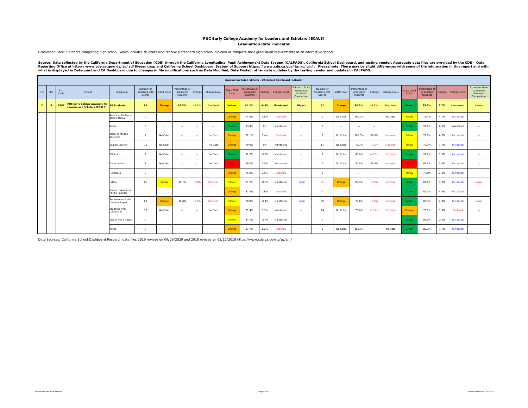### **Graduation Rate IndicatorPUC Early College Academy for Leaders and Scholars (ECALS)**

Graduation Rate: Students completing high school, which includes students who receive a standard high school diploma or complete their graduation requirements at an alternative school.

Source: Data collected by the California Department of Education (CDE) through the California Longitudinal Pupil Achievement Data System (CALPADS), California School Dashboard, and testing vendor. Aggregate data files are

|                   |             |                                                                             |                                        |                                      |            |                                        |               |                 |                            |                                        |         | Graduation Rate Indicator - CA School Dashboard Indicator |                                                               |                                      |               |                                        |               |                 |                     |                                        |        |                  |                                                               |
|-------------------|-------------|-----------------------------------------------------------------------------|----------------------------------------|--------------------------------------|------------|----------------------------------------|---------------|-----------------|----------------------------|----------------------------------------|---------|-----------------------------------------------------------|---------------------------------------------------------------|--------------------------------------|---------------|----------------------------------------|---------------|-----------------|---------------------|----------------------------------------|--------|------------------|---------------------------------------------------------------|
| LD.<br><b>BD</b>  | Loc<br>Code | School                                                                      | Subgroup                               | Number of<br>Students with<br>Scores | 2018 Color | Percentage of<br>graduated<br>students | Change        | Change Level    | <b>State 2018</b><br>Color | Percentage of<br>graduated<br>students | Change  | Change Level                                              | School to State<br>Graduated<br><b>Students</b><br>Comparison | Number of<br>Students with<br>Scores | 2019 Color    | Percentage of<br>graduated<br>students | Change        | Change Level    | State 2019<br>Color | Percentage of<br>graduated<br>students | Change | Change Level     | <b>School to State</b><br>Graduated<br>Students<br>Comparison |
| $\mathbf{c}$<br>5 | 7687        | <b>PUC Early College Academy for</b><br><b>Leaders and Scholars (ECALS)</b> | <b>All Students</b>                    | 86                                   | Orange     | 89.5%                                  | $-8.5%$       | <b>Declined</b> | Yellow                     | 83.5%                                  | $-0.9%$ | Maintained                                                | Higher                                                        | 91                                   | Orange        | 80.2%                                  | $-9.3%$       | <b>Declined</b> | Green               | 85.9%                                  | 2.7%   | <b>Increased</b> | Lower                                                         |
|                   |             |                                                                             | American Indian or<br>Alaska Native    | $^{\circ}$                           | $\sim$     | <b>Section</b>                         | $\sim$        | $\sim$ $\sim$   | Orange                     | 74.4%                                  | 1.8%    | Declined                                                  | $\sim$ $\sim$                                                 |                                      | No Color      | 100.0%                                 | $\sim$        | No Data         | Yellow              | 78.4%                                  | 4.7%   | Increased        | $\sim$                                                        |
|                   |             |                                                                             | Asian                                  | $^{\circ}$                           | $\sim$     | <b>Section</b>                         | $\sim$        | $\sim$ $-$      | Green                      | 93.4%                                  | 0%      | Maintained                                                | $\sim$                                                        | $\circ$                              | $\sim$ $\sim$ | $\sim$ $\sim$                          | $\sim$ $\sim$ | $\sim$          | Green               | 93.9%                                  | 0.6%   | Maintained       | $\sim$                                                        |
|                   |             |                                                                             | <b>Black or African</b><br>American    | $\overline{2}$                       | No Color   | $\sim$                                 | $\sim$        | No Data         | Orange                     | 72.1%                                  | 3.4%    | Declined                                                  | $\sim$                                                        | $\mathbf{3}$                         | No Color      | 100.0%                                 | 50.0%         | Increased       | Yellow              | 78.7%                                  | 6.7%   | Increased        | $\sim$                                                        |
|                   |             |                                                                             | English Learner                        | 10                                   | No Color   | $\sim$ $\sim$                          | $\sim$        | No Data         | Orange                     | 70.9%                                  | 0%      | Maintained                                                | $\sim$                                                        | 11                                   | No Color      | 72.7%                                  | $-17.3%$      | Declined        | Yellow              | 72.7%                                  | 1.7%   | Increased        | $\sim$                                                        |
|                   |             |                                                                             | Filipino                               | $\overline{2}$                       | No Color   | $\sim$ $\sim$                          | $\sim$        | No Data         | Green                      | 92.7%                                  | $-0.9%$ | Maintained                                                | $\sim$ $\sim$                                                 | - 5                                  | No Color      | 60.0%                                  | $-40.0%$      | Declined        | Green               | 93.9%                                  | 1.3%   | Increased        | $\sim$                                                        |
|                   |             |                                                                             | Foster Youth                           | $\overline{1}$                       | No Color   | $\sim$                                 | $\sim$        | No Data         | Red                        | 59.0%                                  | 1.0%    | Increased                                                 | $\sim$                                                        | $\mathcal{L}$                        | No Color      | 50.0%                                  | 50.0%         | Increased       | Red                 | 64.2%                                  | 5.0%   | Increased        | $\sim$                                                        |
|                   |             |                                                                             | Homeless                               | $^{\circ}$                           | $\sim$     | <b>Section</b>                         | $\sim$        | $\sim$          | Orange                     | 76.0%                                  | 2.5%    | Declined                                                  | $\sim$                                                        | $\circ$                              | $\sim$ $\sim$ | $\sim$ $\sim$                          | $\sim$        | $\sim$          | Yellow              | 77.8%                                  | 2.2%   | Increased        | $\sim$                                                        |
|                   |             |                                                                             | Latino                                 | 81                                   | Yellow     | 90.1%                                  | $-8.8%$       | Declined        | Yellow                     | 81.2%                                  | $-0.8%$ | Maintained                                                | Higher                                                        | 81                                   | Orange        | 80.3%                                  | $-9.9%$       | Declined        | Green               | 83.8%                                  | 3.0%   | Increased        | Lower                                                         |
|                   |             |                                                                             | Native Hawaiian or<br>Pacific Islander | $^{\circ}$                           | $\sim$     | $\sim$                                 | $\sim$        | $\sim$ $\sim$   | Orange                     | 81.0%                                  | 2.6%    | Declined                                                  | $\sim$                                                        | $\circ$                              | $\sim$ $\sim$ | $\sim$ $\sim$                          | $\sim$        | $\sim$          | Green               | 85.1%                                  | 4.3%   | Increased        | $\sim$                                                        |
|                   |             |                                                                             | Socioeconomically<br>Disadvantaged     | 80                                   | Orange     | 88.8%                                  | $-9.2%$       | Declined        | Yellow                     | 80.8%                                  | $-0.4%$ | Maintained                                                | Higher                                                        | 89                                   | Orange        | 79.8%                                  | $-9.0%$       | Declined        | Green               | 83.3%                                  | 2.8%   | Increased        | Lower                                                         |
|                   |             |                                                                             | Students with<br><b>Disabilities</b>   | 10                                   | No Color   | <b>Section</b>                         | $\sim$        | No Data         | Orange                     | 71.4%                                  | 0.7%    | Maintained                                                | $\sim$                                                        | 14                                   | No Color      | 78.6%                                  | $-11.4%$      | Declined        | Orange              | 70.7%                                  | 1.3%   | Declined         | $\sim$                                                        |
|                   |             |                                                                             | Two or More Races                      | $^{\circ}$                           | $\sim$     | $\sim$                                 | $\sim$        | $\sim$          | Yellow                     | 84.7%                                  | $-0.7%$ | Maintained                                                | $\sim$                                                        | $\Omega$                             | $\sim$ $\sim$ | $\sim$ $\sim$                          | $\sim$        | $\cdots$        | Green               | 86.9%                                  | 2.6%   | Increased        | $\sim$                                                        |
|                   |             |                                                                             | White                                  | $^{\circ}$                           | $\sim$     | <b>Section</b>                         | $\sim$ $\sim$ | $\sim$ $\sim$   | Orange                     | 87.7%                                  | 1.2%    | Declined                                                  | $\sim$ $\sim$                                                 | $\overline{1}$                       | No Color      | 100.0%                                 | $\sim$        | No Data         | Green               | 89.1%                                  | 1.7%   | Increased        | $\sim$                                                        |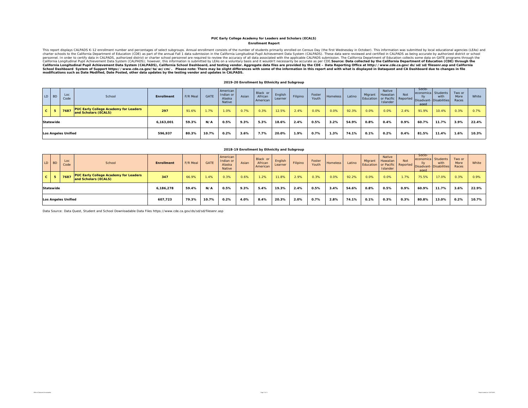#### **Enrollment Report PUC Early College Academy for Leaders and Scholars (ECALS)**

This report displays CALPADS K-12 enrollment number and percentages of select subgroups. Annual enrollment consists of the number of students primarily enrolled on Census Day (the first Wednesday in October). This informat California Longitudinal Pupil Achievement Data System (CALPADS), California School Dashboard, and testing vendor. Aggregate data files are provided by the CDE – Data Reporting Office at http://www.cde.ca.gov/ds/sd/sid/slis

#### **2019-20 Enrollment by Ethnicity and Subgroup**

|              | LD BD     | Loc<br>Code                | School                                                               | Enrollment | F/R Meal | <b>GATE</b> | American<br>Indian or<br>Alaska<br>Native | Asian | Black or<br>African<br>American | English<br>Learner | Filipino | Foster<br>Youth. | Homeless | Latino | Migrant | Native<br>Hawaiian<br>Islander | <b>Not</b> | Socio<br>economica Students<br>aged | with<br>Education or Pacific Reported Disadvant-Disabilities | Two or<br>More<br>Races | White |
|--------------|-----------|----------------------------|----------------------------------------------------------------------|------------|----------|-------------|-------------------------------------------|-------|---------------------------------|--------------------|----------|------------------|----------|--------|---------|--------------------------------|------------|-------------------------------------|--------------------------------------------------------------|-------------------------|-------|
| $\mathbf{c}$ |           | 7687                       | <b>PUC Early College Academy for Leaders</b><br>and Scholars (ECALS) | 297        | 91.6%    | 1.7%        | 1.0%                                      | 0.7%  | 0.3%                            | 12.5%              | 2.4%     | 0.0%             | 0.0%     | 92.3%  | 0.0%    | 0.0%                           | 2.4%       | 91.9%                               | 10.4%                                                        | 0.3%                    | 0.7%  |
|              | Statewide |                            |                                                                      | 6.163.001  | 59.3%    | N/A         | 0.5%                                      | 9.3%  | 5.3%                            | 18.6%              | 2.4%     | 0.5%             | 3.2%     | 54.9%  | 0.8%    | 0.4%                           | 0.9%       | 60.7%                               | 11.7%                                                        | 3.9%                    | 22.4% |
|              |           | <b>Los Angeles Unified</b> |                                                                      | 596.937    | 80.3%    | 10.7%       | 0.2%                                      | 3.6%  | 7.7%                            | 20.0%              | 1.9%     | 0.7%             | 1.3%     | 74.1%  | 0.1%    | 0.2%                           | 0.4%       | 81.5%                               | 11.4%                                                        | 1.6%                    | 10.3% |

|              |                  |                            |                                                                      |            |          |             |                                           |       | 2018-19 Enrollment by Ethnicity and Subgroup |                    |          |                 |          |        |         |                                                                 |      |                                             |                                |                         |       |
|--------------|------------------|----------------------------|----------------------------------------------------------------------|------------|----------|-------------|-------------------------------------------|-------|----------------------------------------------|--------------------|----------|-----------------|----------|--------|---------|-----------------------------------------------------------------|------|---------------------------------------------|--------------------------------|-------------------------|-------|
|              | LD BD            | Loc<br>Code                | School                                                               | Enrollment | F/R Meal | <b>GATE</b> | American<br>Indian or<br>Alaska<br>Native | Asian | Black or<br>African<br>American              | English<br>Learner | Filipino | Foster<br>Youth | Homeless | Latino | Migrant | Native<br>Hawaiian<br>Education or Pacific Reported<br>Islander | Not  | Socio-<br>economica Students<br>lly<br>aged | with<br>Disadvant-Disabilities | Two or<br>More<br>Races | White |
| $\mathbf{c}$ |                  | 7687                       | <b>PUC Early College Academy for Leaders</b><br>and Scholars (ECALS) | 347        | 66.9%    | 1.4%        | 0.3%                                      | 0.6%  | 1.2%                                         | 11.8%              | 2.9%     | 0.3%            | 0.0%     | 92.2%  | 0.0%    | 0.0%                                                            | 1.7% | 75.5%                                       | 17.0%                          | 0.3%                    | 0.9%  |
|              | <b>Statewide</b> |                            |                                                                      | 6.186.278  | 59.4%    | N/A         | 0.5%                                      | 9.3%  | 5.4%                                         | 19.3%              | 2.4%     | 0.5%            | 3.4%     | 54.6%  | 0.8%    | 0.5%                                                            | 0.9% | 60.9%                                       | 11.7%                          | 3.6%                    | 22.9% |
|              |                  | <b>Los Angeles Unified</b> |                                                                      | 607.723    | 79.3%    | 10.7%       | 0.2%                                      | 4.0%  | 8.4%                                         | 20.3%              | 2.0%     | 0.7%            | 2.8%     | 74.1%  | 0.1%    | 0.3%                                                            | 0.3% | 80.8%                                       | 13.0%                          | 0.2%                    | 10.7% |

Data Source: Data Quest, Student and School Downloadable Data Files https://www.cde.ca.gov/ds/sd/sd/filesenr.asp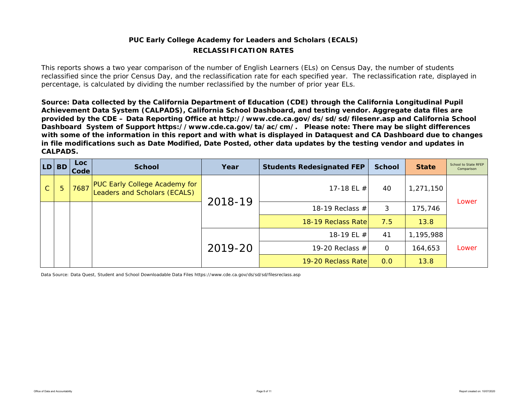# **PUC Early College Academy for Leaders and Scholars (ECALS) RECLASSIFICATION RATES**

This reports shows a two year comparison of the number of English Learners (ELs) on Census Day, the number of students reclassified since the prior Census Day, and the reclassification rate for each specified year. The reclassification rate, displayed in percentage, is calculated by dividing the number reclassified by the number of prior year ELs.

*Source: Data collected by the California Department of Education (CDE) through the California Longitudinal Pupil Achievement Data System (CALPADS), California School Dashboard, and testing vendor. Aggregate data files are provided by the CDE – Data Reporting Office at http://www.cde.ca.gov/ds/sd/sd/filesenr.asp and California School Dashboard System of Support https://www.cde.ca.gov/ta/ac/cm/. Please note: There may be slight differences with some of the information in this report and with what is displayed in Dataquest and CA Dashboard due to changes in file modifications such as Date Modified, Date Posted, other data updates by the testing vendor and updates in CALPADS.* 

| LD <sub>1</sub> | <b>BD</b> | Loc<br>Code | <b>School</b>                                                         | Year    | <b>Students Redesignated FEP</b> | <b>School</b> | <b>State</b> | School to State RFEP<br>Comparison |
|-----------------|-----------|-------------|-----------------------------------------------------------------------|---------|----------------------------------|---------------|--------------|------------------------------------|
| $\mathsf{C}$    | 5         | 7687        | <b>PUC Early College Academy for<br/>Leaders and Scholars (ECALS)</b> | 2018-19 | 17-18 EL #                       | 40            | 1,271,150    | Lower                              |
|                 |           |             |                                                                       |         | 18-19 Reclass $#$                | 3             | 175,746      |                                    |
|                 |           |             |                                                                       |         | 18-19 Reclass Rate               | 7.5           | 13.8         |                                    |
|                 |           |             |                                                                       |         | 18-19 EL #                       | 41            | 1,195,988    |                                    |
|                 |           |             |                                                                       | 2019-20 | 19-20 Reclass $#$                | $\mathbf 0$   | 164,653      | Lower                              |
|                 |           |             |                                                                       |         | 19-20 Reclass Rate               | 0.0           | 13.8         |                                    |

Data Source: Data Quest, Student and School Downloadable Data Files https://www.cde.ca.gov/ds/sd/sd/filesreclass.asp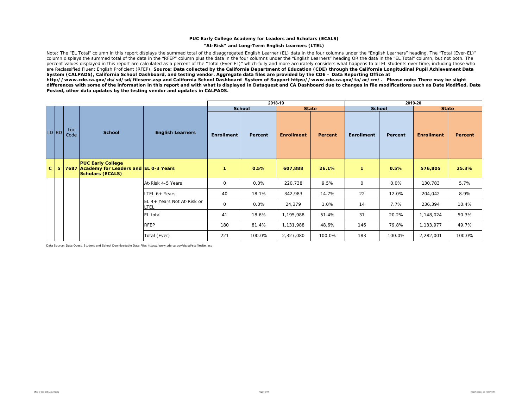## **PUC Early College Academy for Leaders and Scholars (ECALS)**

## **"At-Risk" and Long-Term English Learners (LTEL)**

Note: The "EL Total" column in this report displays the summed total of the disaggregated English Learner (EL) data in the four columns under the "English Learners" heading. The "Total (Ever-EL)" column displays the summed total of the data in the "RFEP" column plus the data in the four columns under the "English Learners" heading OR the data in the "EL Total" column, but not both. The percent values displayed in this report are calculated as a percent of the "Total (Ever-EL)" which fully and more accurately considers what happens to all EL students over time, including those who are Reclassified Fluent English Proficient (RFEP). Source: Data collected by the California Department of Education (CDE) through the California Longitudinal Pupil Achievement Data *System (CALPADS), California School Dashboard, and testing vendor. Aggregate data files are provided by the CDE – Data Reporting Office at* 

*http://www.cde.ca.gov/ds/sd/sd/filesenr.asp and California School Dashboard System of Support https://www.cde.ca.gov/ta/ac/cm/. Please note: There may be slight differences with some of the information in this report and with what is displayed in Dataquest and CA Dashboard due to changes in file modifications such as Date Modified, Date Posted, other data updates by the testing vendor and updates in CALPADS.* 

|              |   |             |                                                                                                  |                                    |                   |               | 2018-19           |                |                   |         | 2019-20           |         |
|--------------|---|-------------|--------------------------------------------------------------------------------------------------|------------------------------------|-------------------|---------------|-------------------|----------------|-------------------|---------|-------------------|---------|
|              |   |             |                                                                                                  |                                    |                   | <b>School</b> | <b>State</b>      |                | <b>School</b>     |         | <b>State</b>      |         |
| LD BD        |   | Loc<br>Code | <b>School</b>                                                                                    | <b>English Learners</b>            | <b>Enrollment</b> | Percent       | <b>Enrollment</b> | <b>Percent</b> | <b>Enrollment</b> | Percent | <b>Enrollment</b> | Percent |
| $\mathbf{C}$ | 5 |             | <b>PUC Early College</b><br>7687 Academy for Leaders and EL 0-3 Years<br><b>Scholars (ECALS)</b> |                                    | $\mathbf{1}$      | 0.5%          | 607,888           | 26.1%          | $\mathbf{1}$      | 0.5%    | 576,805           | 25.3%   |
|              |   |             |                                                                                                  | At-Risk 4-5 Years                  | $\mathbf 0$       | 0.0%          | 220,738           | 9.5%           | $\mathsf{O}$      | 0.0%    | 130,783           | 5.7%    |
|              |   |             |                                                                                                  | LTEL 6+ Years                      | 40                | 18.1%         | 342,983           | 14.7%          | 22                | 12.0%   | 204,042           | 8.9%    |
|              |   |             |                                                                                                  | EL 4+ Years Not At-Risk or<br>LTEL | $\mathbf 0$       | 0.0%          | 24,379            | 1.0%           | 14                | 7.7%    | 236,394           | 10.4%   |
|              |   |             |                                                                                                  | EL total                           | 41                | 18.6%         | 1,195,988         | 51.4%          | 37                | 20.2%   | 1,148,024         | 50.3%   |
|              |   |             |                                                                                                  | <b>RFEP</b>                        | 180               | 81.4%         | 1,131,988         | 48.6%          | 146               | 79.8%   | 1,133,977         | 49.7%   |
|              |   |             |                                                                                                  | Total (Ever)                       | 221               | 100.0%        | 2,327,080         | 100.0%         | 183               | 100.0%  | 2,282,001         | 100.0%  |

Data Source: Data Quest, Student and School Downloadable Data Files https://www.cde.ca.gov/ds/sd/sd/filesltel.asp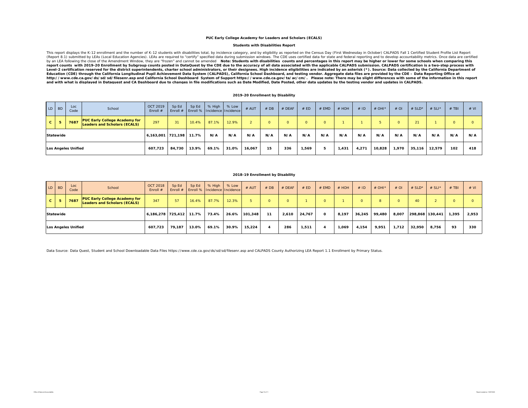#### **PUC Early College Academy for Leaders and Scholars (ECALS)**

## **Students with Disabilities Report**

This report displays the K-12 enrollment and the number of K-12 students with disabilities total, by incidence category, and by eligibility as reported on the Census Day (First Wednesday in October) CALPADS Fall 1 Certifie by an LEA following the close of the Amendment Window, they are "frozen" and cannot be amended allote: Students with disabilities counts and percentages in this report may be higher or lower for some schools when comparing Level-2 certification reserved for the district superintendents, charter school administrators, or their designees. High incidence eligibilities are indicated by an asterisk (\*). Source: Data collected by the California De http://www.cde.ca.gov/ds/sd/sd/filesenr.asp and California School Dashboard System of Support https://www.cde.ca.gov/ta/ac/cm/. Please note: There may be slight differences with some of the information in this report<br>an

| 2019-20 Enrollment by Disability |  |
|----------------------------------|--|
|----------------------------------|--|

| LD BD |           | Loc<br>Code                | School                                                                      | <b>OCT 2019</b><br>Enroll # | Sp Ed  | Sp Ed | % High | % Low<br>Enroll #   Enroll %   Incidence   Incidence | # AUT  | #DB     | <b>EDEAF</b> | # ED  | # EMD    | $#$ HOH | #ID   | # OHI* | $#$ OI   | $#$ SLD* | $# SLI^*$ | <b>TBI</b> | # VI |
|-------|-----------|----------------------------|-----------------------------------------------------------------------------|-----------------------------|--------|-------|--------|------------------------------------------------------|--------|---------|--------------|-------|----------|---------|-------|--------|----------|----------|-----------|------------|------|
| C.    | 5         | 7687                       | <b>PUC Early College Academy for</b><br><b>Leaders and Scholars (ECALS)</b> | 297                         | 31     | 10.4% | 87.1%  | 12.9%                                                |        | $\circ$ |              |       | $\Omega$ |         |       |        | $\Omega$ | 21       |           | $\circ$    |      |
|       | Statewide |                            |                                                                             | 6,163,001 721,198           |        | 11.7% | N/A    | N/A                                                  | N/A    | N/A     | N/A          | N/A   | N/A      | N/A     | N/A   | N/A    | N/A      | N/A      | N/A       | N/A        | N/A  |
|       |           | <b>Los Angeles Unified</b> |                                                                             | 607,723                     | 84,730 | 13.9% | 69.1%  | 31.0%                                                | 16,067 | 15      | 336          | 1,569 |          | 1,431   | 4,271 | 10,828 | 1,970    | 35,116   | 12,579    | 102        | 418  |

## **2018-19 Enrollment by Disability**

| LD BD |           | Loc<br>Code         | School                                                                      | <b>OCT 2018</b><br>Enroll # | Sp Ed  | Sp Ed<br>Enroll #   Enroll %   Incidence   Incidence | % High | % Low | # AUT   | #DB     | $#$ DEAF | # ED   | $#$ EMD  | $#$ HOH | #ID    | $#$ OHI <sup>*</sup> | $#$ OI   | # $SLD^*$       | # $SLI^*$ | $#$ TBI | # VI  |
|-------|-----------|---------------------|-----------------------------------------------------------------------------|-----------------------------|--------|------------------------------------------------------|--------|-------|---------|---------|----------|--------|----------|---------|--------|----------------------|----------|-----------------|-----------|---------|-------|
| c.    | -5        | 7687                | <b>PUC Early College Academy for</b><br><b>Leaders and Scholars (ECALS)</b> | 347                         | 57     | 16.4%                                                | 87.7%  | 12.3% |         | $\circ$ |          |        |          |         |        | 8                    | $\Omega$ | 40              |           | $\circ$ |       |
|       | Statewide |                     |                                                                             | 6,186,278 725,412           |        | 11.7%                                                | 73.4%  | 26.6% | 101,348 | 11      | 2,610    | 24,767 | $\Omega$ | 8,197   | 36,245 | 99,480               | 8,007    | 298,868 130,441 |           | 1,395   | 2,953 |
|       |           | Los Angeles Unified |                                                                             | 607,723                     | 79.187 | 13.0%                                                | 69.1%  | 30.9% | 15.224  |         | 286      | 1,511  |          | 1,069   | 4,154  | 9,951                | 1,712    | 32,950          | 8,756     | 93      | 330   |

Data Source: Data Quest, Student and School Downloadable Data Files https://www.cde.ca.gov/ds/sd/sd/filesenr.asp and CALPADS County Authorizing LEA Report 1.1 Enrollment by Primary Status.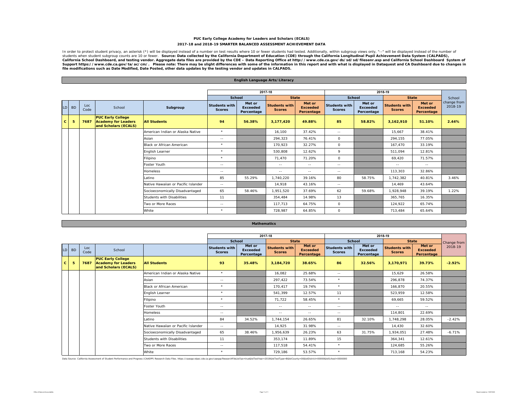## **PUC Early College Academy for Leaders and Scholars (ECALS) 2017-18 and 2018-19 SMARTER BALANCED ASSESSMENT ACHIEVEMENT DATA**

In order to protect student privacy, an asterisk (\*) will be displayed instead of a number on test results where 10 or fewer students had tested. Additionally, within subgroup views only, "--" will be displayed instead of California School Dashboard, and testing vendor. Aggregate data files are provided by the CDE – Data Reporting Office at http://www.cde.ca.gov/ds/sd/filesenr.asp and California School Dashboard System of<br>Support https://ww *file modifications such as Date Modified, Date Posted, other data updates by the testing vendor and updates in CALPADS.* 

**English Language Arts/Literacy**

|              |           |             |                                                                                |                                     |                                       |                                         | 2017-18                               |                                         |                                       |                                         | 2018-19                               |                                         |                        |
|--------------|-----------|-------------|--------------------------------------------------------------------------------|-------------------------------------|---------------------------------------|-----------------------------------------|---------------------------------------|-----------------------------------------|---------------------------------------|-----------------------------------------|---------------------------------------|-----------------------------------------|------------------------|
|              |           |             |                                                                                |                                     | School                                |                                         | <b>State</b>                          |                                         | School                                |                                         | <b>State</b>                          |                                         | School                 |
|              | $LD$ $BD$ | Loc<br>Code | School                                                                         | Subgroup                            | <b>Students with</b><br><b>Scores</b> | Met or<br><b>Exceeded</b><br>Percentage | <b>Students with</b><br><b>Scores</b> | Met or<br><b>Exceeded</b><br>Percentage | <b>Students with</b><br><b>Scores</b> | Met or<br><b>Exceeded</b><br>Percentage | <b>Students with</b><br><b>Scores</b> | Met or<br><b>Exceeded</b><br>Percentage | change from<br>2018-19 |
| $\mathbf{C}$ | 5         | 7687        | <b>PUC Early College</b><br><b>Academy for Leaders</b><br>and Scholars (ECALS) | <b>All Students</b>                 | 94                                    | 56.38%                                  | 3,177,420                             | 49.88%                                  | 85                                    | 58.82%                                  | 3,162,910                             | 51.10%                                  | 2.44%                  |
|              |           |             |                                                                                | American Indian or Alaska Native    | $\star$                               |                                         | 16.100                                | 37.42%                                  | $\sim$ $\sim$                         |                                         | 15.667                                | 38.41%                                  |                        |
|              |           |             |                                                                                | Asian                               | $\sim$ $-$                            |                                         | 294,323                               | 76.41%                                  | 0                                     |                                         | 294,155                               | 77.05%                                  |                        |
|              |           |             |                                                                                | <b>Black or African American</b>    | $\star$                               |                                         | 170,923                               | 32.27%                                  | $\circ$                               |                                         | 167.470                               | 33.19%                                  |                        |
|              |           |             |                                                                                | English Learner                     | $\star$                               |                                         | 530,808                               | 12.62%                                  | 9                                     |                                         | 511.094                               | 12.81%                                  |                        |
|              |           |             |                                                                                | Filipino                            | $\star$                               |                                         | 71,470                                | 71.20%                                  | 0                                     |                                         | 69,420                                | 71.57%                                  |                        |
|              |           |             |                                                                                | Foster Youth                        | $\sim$ $-$                            |                                         | $\sim$ $-$                            | $\sim$ $-$                              | $\sim$ $-$                            |                                         | $\sim$ $-$                            | $\sim$ $\sim$                           |                        |
|              |           |             |                                                                                | <b>Homeless</b>                     | $\sim$ $-$                            |                                         | $\sim$ $-$                            | $\sim$ $\sim$                           | $\sim$ $-$                            |                                         | 113,303                               | 32.86%                                  |                        |
|              |           |             |                                                                                | Latino                              | 85                                    | 55.29%                                  | 1,740,220                             | 39.16%                                  | 80                                    | 58.75%                                  | 1,742,382                             | 40.81%                                  | 3.46%                  |
|              |           |             |                                                                                | Native Hawaiian or Pacific Islander | $\sim$ $-$                            |                                         | 14,918                                | 43.16%                                  | $\sim$ $-$                            |                                         | 14.469                                | 43.64%                                  |                        |
|              |           |             |                                                                                | Socioeconomically Disadvantaged     | 65                                    | 58.46%                                  | 1.951.520                             | 37.69%                                  | 62                                    | 59.68%                                  | 1,928,948                             | 39.19%                                  | 1.22%                  |
|              |           |             |                                                                                | <b>Students with Disabilities</b>   | 11                                    |                                         | 354.484                               | 14.98%                                  | 13                                    |                                         | 365.765                               | 16.35%                                  |                        |
|              |           |             |                                                                                | Two or More Races                   | $\sim$ $-$                            |                                         | 117,713                               | 64.75%                                  | $\circ$                               |                                         | 124,922                               | 65.74%                                  |                        |
|              |           |             |                                                                                | White                               | $\star$                               |                                         | 728,987                               | 64.85%                                  | $\circ$                               |                                         | 713.484                               | 65.64%                                  |                        |

|                 |           |             |                                                                                |                                     |                                       | <b>Matrichiatics</b>                    |                                       |                                         |                                       |                                         |                                       |                                         |             |
|-----------------|-----------|-------------|--------------------------------------------------------------------------------|-------------------------------------|---------------------------------------|-----------------------------------------|---------------------------------------|-----------------------------------------|---------------------------------------|-----------------------------------------|---------------------------------------|-----------------------------------------|-------------|
|                 |           |             |                                                                                |                                     |                                       |                                         |                                       |                                         |                                       |                                         |                                       |                                         |             |
|                 |           |             |                                                                                |                                     |                                       |                                         | 2017-18                               |                                         |                                       |                                         | 2018-19                               |                                         |             |
|                 |           |             |                                                                                |                                     |                                       | School                                  | <b>State</b>                          |                                         | <b>School</b>                         |                                         | <b>State</b>                          |                                         | Change from |
| LD <sup>1</sup> | <b>BD</b> | Loc<br>Code | School                                                                         |                                     | <b>Students with</b><br><b>Scores</b> | Met or<br><b>Exceeded</b><br>Percentage | <b>Students with</b><br><b>Scores</b> | Met or<br><b>Exceeded</b><br>Percentage | <b>Students with</b><br><b>Scores</b> | Met or<br><b>Exceeded</b><br>Percentage | <b>Students with</b><br><b>Scores</b> | Met or<br><b>Exceeded</b><br>Percentage | 2018-19     |
| $\mathbf{C}$    | 5         | 7687        | <b>PUC Early College</b><br><b>Academy for Leaders</b><br>and Scholars (ECALS) | <b>All Students</b>                 | 93                                    | 35.48%                                  | 3.184.720                             | 38.65%                                  | 86                                    | 32.56%                                  | 3,170,971                             | 39.73%                                  | $-2.92%$    |
|                 |           |             |                                                                                | American Indian or Alaska Native    | $\star$                               |                                         | 16.082                                | 25.68%                                  | $\sim$ $-$                            |                                         | 15.629                                | 26.58%                                  |             |
|                 |           |             |                                                                                | Asian                               | $\sim$ $-$                            |                                         | 297,422                               | 73.54%                                  | $\star$                               |                                         | 296.878                               | 74.37%                                  |             |
|                 |           |             |                                                                                | Black or African American           | $\star$                               |                                         | 170.417                               | 19.74%                                  | $\star$                               |                                         | 166.870                               | 20.55%                                  |             |
|                 |           |             |                                                                                | English Learner                     | $\star$                               |                                         | 541.399                               | 12.57%                                  | 11                                    |                                         | 523.959                               | 12.58%                                  |             |
|                 |           |             |                                                                                | Filipino                            | $\star$                               |                                         | 71,722                                | 58.45%                                  | $\star$                               |                                         | 69,665                                | 59.52%                                  |             |
|                 |           |             |                                                                                | Foster Youth                        | $\sim$ $-$                            |                                         | $\sim$ $\sim$                         | $\sim$ $-$                              | $\sim$ $-$                            |                                         | $\sim$ $\sim$                         | $\sim$ $-$                              |             |
|                 |           |             |                                                                                | <b>Homeless</b>                     | $\sim$ $-$                            |                                         | $\sim$ $-$                            | $\sim$ $-$                              | $\sim$ $\sim$                         |                                         | 114,801                               | 22.69%                                  |             |
|                 |           |             |                                                                                | Latino                              | 84                                    | 34.52%                                  | 1.744.154                             | 26.65%                                  | 81                                    | 32.10%                                  | 1.748.298                             | 28.05%                                  | $-2.42%$    |
|                 |           |             |                                                                                | Native Hawaiian or Pacific Islander | $\sim$ $-$                            |                                         | 14,925                                | 31.98%                                  | $\sim$ $-$                            |                                         | 14,430                                | 32.60%                                  |             |
|                 |           |             |                                                                                | Socioeconomically Disadvantaged     | 65                                    | 38.46%                                  | 1,956,639                             | 26.23%                                  | 63                                    | 31.75%                                  | 1,934,051                             | 27.48%                                  | $-6.71%$    |
|                 |           |             |                                                                                | Students with Disabilities          | 11                                    |                                         | 353,174                               | 11.89%                                  | 15                                    |                                         | 364,341                               | 12.61%                                  |             |
|                 |           |             |                                                                                | Two or More Races                   | $\sim$ $-$                            |                                         | 117,518                               | 54.41%                                  | $\star$                               |                                         | 124,685                               | 55.26%                                  |             |
|                 |           |             |                                                                                | White                               | $\star$                               |                                         | 729,186                               | 53.57%                                  | $\star$                               |                                         | 713,168                               | 54.23%                                  |             |

**Mathematics**

#### Data Source: California Assessment of Student Performance and Progress (CAASPP) Research Data Files. https://caaspp-elpac.cde.ca.gov/caaspp/ResearchFileList?ps=true&istTestYear=2019&istTestYep==B&istCounty=00&istDistrict=0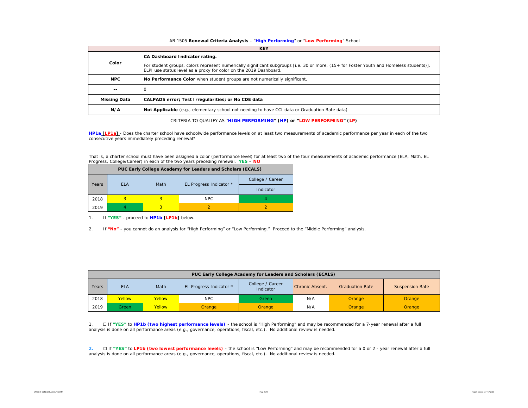## AB 1505 **Renewal Criteria Analysis** - "**High Performing**" or "**Low Performing**" School

|                     | <b>KEY</b>                                                                                                                                                                                                                                     |
|---------------------|------------------------------------------------------------------------------------------------------------------------------------------------------------------------------------------------------------------------------------------------|
| Color               | CA Dashboard Indicator rating.<br>For student groups, colors represent numerically significant subgroups [i.e. 30 or more, (15+ for Foster Youth and Homeless students)].<br>ELPI use status level as a proxy for color on the 2019 Dashboard. |
| <b>NPC</b>          | No Performance Color when student groups are not numerically significant.                                                                                                                                                                      |
| $- -$               |                                                                                                                                                                                                                                                |
| <b>Missing Data</b> | CALPADS error; Test Irregularities; or No CDE data                                                                                                                                                                                             |
| N/A                 | Not Applicable (e.g., elementary school not needing to have CCI data or Graduation Rate data)                                                                                                                                                  |

CRITERIA TO QUALIFY AS "**HIGH PERFORMING" (HP) or "LOW PERFORMING" (LP)**

**HP1a [LP1a]** - *Does the charter school have schoolwide performance levels on at least two measurements of academic performance per year in each of the two consecutive years immediately preceding renewal?* 

That is, a charter school must have been assigned a color (performance level) for at least two of the four measurements of academic performance (ELA, Math, EL Progress, College/Career) in each of the two years preceding renewal. **YES** – **NO**

|       |            |      | PUC Early College Academy for Leaders and Scholars (ECALS) |                  |  |  |
|-------|------------|------|------------------------------------------------------------|------------------|--|--|
|       | <b>FLA</b> | Math |                                                            | College / Career |  |  |
| Years |            |      | EL Progress Indicator *                                    | Indicator        |  |  |
| 2018  | 3          |      | NPC.                                                       |                  |  |  |
| 2019  |            | 3    |                                                            |                  |  |  |

1. If **"YES"** - proceed to **HP1b [LP1b]** below.

2. If **"No"** - you cannot do an analysis for "High Performing" or "Low Performing." Proceed to the "Middle Performing" analysis.

|       |            |        |                         | PUC Early College Academy for Leaders and Scholars (ECALS) |                 |                        |                        |
|-------|------------|--------|-------------------------|------------------------------------------------------------|-----------------|------------------------|------------------------|
| Years | <b>ELA</b> | Math   | EL Progress Indicator * | College / Career<br>Indicator                              | Chronic Absent. | <b>Graduation Rate</b> | <b>Suspension Rate</b> |
| 2018  | Yellow     | Yellow | <b>NPC</b>              | Green                                                      | N/A             | Orange                 | Orange                 |
| 2019  | Green      | Yellow | Orange                  | Orange                                                     | N/A             | Orange                 | Orange                 |

1. ☐ If **"YES"** to **HP1b (two highest performance levels)** - the school is "High Performing" and may be recommended for a 7-year renewal after a full analysis is done on all performance areas (e.g., governance, operations, fiscal, etc.). No additional review is needed.

2. □ If "YES" to LP1b (two lowest performance levels) - the school is "Low Performing" and may be recommended for a 0 or 2 - year renewal after a full analysis is done on all performance areas (e.g., governance, operations, fiscal, etc.). No additional review is needed.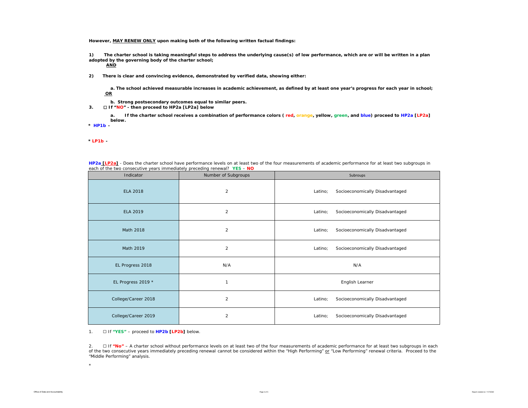**However, MAY RENEW ONLY upon making both of the following written factual findings:**

**1) The charter school is taking meaningful steps to address the underlying cause(s) of low performance, which are or will be written in a plan adopted by the governing body of the charter school;** 

**AND**

**2) There is clear and convincing evidence, demonstrated by verified data, showing either:**

**a. The school achieved measurable increases in academic achievement, as defined by at least one year's progress for each year in school; OR**

**b. Strong postsecondary outcomes equal to similar peers.**

**3.** ☐ **If "NO" - then proceed to HP2a [LP2a] below**

**a. If the charter school receives a combination of performance colors ( red, orange, yellow, green, and blue) proceed to HP2a [LP2a] below.** 

**\*** *HP1b -* 

*\* LP1b -* 

| HP2a [LP2a] - Does the charter school have performance levels on at least two of the four measurements of academic performance for at least two subgroups in |  |  |  |
|--------------------------------------------------------------------------------------------------------------------------------------------------------------|--|--|--|
| each of the two consecutive years immediately preceding renewal? YES - NO                                                                                    |  |  |  |

| Indicator           | Number of Subgroups     | Subroups                                   |
|---------------------|-------------------------|--------------------------------------------|
| <b>ELA 2018</b>     | $\overline{\mathbf{c}}$ | Socioeconomically Disadvantaged<br>Latino; |
| <b>ELA 2019</b>     | $\overline{\mathbf{c}}$ | Latino;<br>Socioeconomically Disadvantaged |
| Math 2018           | $\overline{c}$          | Socioeconomically Disadvantaged<br>Latino; |
| Math 2019           | $\overline{c}$          | Socioeconomically Disadvantaged<br>Latino; |
| EL Progress 2018    | N/A                     | N/A                                        |
| EL Progress 2019 *  | $\mathbf{1}$            | English Learner                            |
| College/Career 2018 | $\overline{c}$          | Socioeconomically Disadvantaged<br>Latino; |
| College/Career 2019 | $\overline{c}$          | Socioeconomically Disadvantaged<br>Latino; |

1. ☐ If **"YES"** – proceed to **HP2b [LP2b]** below.

2. ☐ If **"No"** – A charter school without *performance levels on at least two of the four measurements of academic performance for at least two subgroups in each of the two consecutive years immediately preceding renewal* cannot be considered within the "High Performing" or "Low Performing" renewal criteria. Proceed to the "Middle Performing" analysis.

\*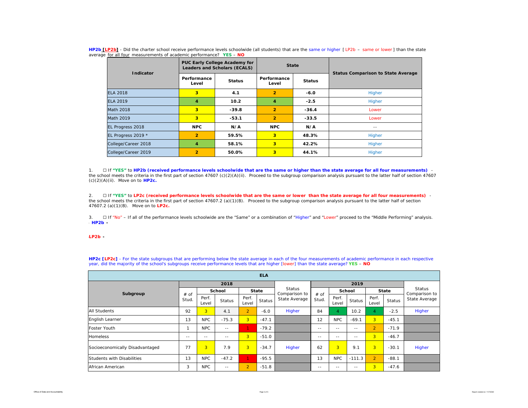| HP2b [LP2b] - Did the charter school receive performance levels schoolwide (all students) that are the same or higher [LP2b - same or lower] than the state |  |  |
|-------------------------------------------------------------------------------------------------------------------------------------------------------------|--|--|
| average for all four measurements of academic performance? YES - NO                                                                                         |  |  |

| Indicator           |                      | PUC Early College Academy for<br>Leaders and Scholars (ECALS) | <b>State</b>   |               | <b>Status Comparison to State Average</b> |  |  |  |  |
|---------------------|----------------------|---------------------------------------------------------------|----------------|---------------|-------------------------------------------|--|--|--|--|
|                     | Performance<br>Level | Performance<br><b>Status</b>                                  |                | <b>Status</b> |                                           |  |  |  |  |
| <b>ELA 2018</b>     | 3                    | 4.1                                                           | $\overline{2}$ | $-6.0$        | Higher                                    |  |  |  |  |
| <b>ELA 2019</b>     | 4                    | 10.2                                                          | 4              | $-2.5$        | Higher                                    |  |  |  |  |
| <b>Math 2018</b>    | 3                    | $-39.8$                                                       | $\overline{2}$ | $-36.4$       | Lower                                     |  |  |  |  |
| Math 2019           | 3                    | $-53.1$                                                       | $\overline{2}$ | $-33.5$       | Lower                                     |  |  |  |  |
| EL Progress 2018    | <b>NPC</b>           | N/A                                                           | <b>NPC</b>     | N/A           | $\frac{1}{2}$                             |  |  |  |  |
| EL Progress 2019 *  | $\overline{2}$       | 59.5%                                                         | 3              | 48.3%         | Higher                                    |  |  |  |  |
| College/Career 2018 | 4                    | 58.1%                                                         | 3              | 42.2%         | Higher                                    |  |  |  |  |
| College/Career 2019 | $\overline{2}$       | 50.0%                                                         | 3              | 44.1%         | Higher                                    |  |  |  |  |

1. □ If "YES" to HP2b (received performance levels schoolwide that are the same or higher than the state average for all four measurements) -<br>the school meets the criteria in the first part of section 47607 (c)(2)(A)(ii). (c)(2)(A)(ii). Move on to **HP2c.**

2. △□If "YES" to LP2c (received performance levels schoolwide that are the same or lower than the state average for all four measurements) -<br>the school meets the criteria in the first part of section 47607.2 (a)(1)(B). Pr 47607.2 (a)(1)(B). Move on to **LP2c.**

3. □ If "No" – If all of the performance levels schoolwide are the "Same" or a combination of "Higher" and "Lower" proceed to the "Middle Performing" analysis. \* *HP2b -* 

## \**LP2b -*

**HP2c [LP2c]** - For the state subgroups that are performing below the state average in each of the four measurements of academic performance in each respective year, did the majority of the school's subgroups receive performance levels that are higher [lower] than the state average? **YES** – **NO**

|                                 |                 |                |               |                | <b>ELA</b>    |                                |               |                |          |                |               |                                |  |
|---------------------------------|-----------------|----------------|---------------|----------------|---------------|--------------------------------|---------------|----------------|----------|----------------|---------------|--------------------------------|--|
|                                 |                 |                | 2018          |                |               |                                | 2019          |                |          |                |               |                                |  |
|                                 |                 |                | School        |                | <b>State</b>  | <b>Status</b><br>Comparison to |               | School         |          | <b>State</b>   |               | <b>Status</b><br>Comparison to |  |
| Subgroup                        | $#$ of<br>Stud. | Perf.<br>Level | <b>Status</b> | Perf.<br>Level | <b>Status</b> | State Average                  | # of<br>Stud. | Perf.<br>Level | Status   | Perf.<br>Level | <b>Status</b> | State Average                  |  |
| <b>All Students</b>             | 92              | 3              | 4.1           | $\overline{2}$ | $-6.0$        | Higher                         | 84            | $\overline{4}$ | 10.2     | 4              | $-2.5$        | Higher                         |  |
| English Learner                 | 13              | <b>NPC</b>     | $-75.3$       | 3 <sup>1</sup> | $-47.1$       |                                | 12            | <b>NPC</b>     | $-69.1$  | 3 <sup>1</sup> | $-45.1$       |                                |  |
| Foster Youth                    |                 | <b>NPC</b>     | $\frac{1}{2}$ |                | $-79.2$       |                                | $\sim$ $\sim$ | $- -$          | $ -$     | $\overline{2}$ | $-71.9$       |                                |  |
| <b>Homeless</b>                 | $- -$           | $=$ $-$        | $= -$         | $\overline{3}$ | $-51.0$       |                                | $\sim$ $\sim$ | $=$ $-$        | $- -$    | 3 <sup>1</sup> | $-46.7$       |                                |  |
| Socioeconomically Disadvantaged | 77              | 3              | 7.9           | 3              | $-34.7$       | Higher                         | 62            | 3              | 9.1      | 3              | $-30.1$       | Higher                         |  |
| Students with Disabilities      | 13              | <b>NPC</b>     | $-47.2$       | u.             | $-95.5$       |                                | 13            | <b>NPC</b>     | $-111.3$ | $\overline{2}$ | $-88.1$       |                                |  |
| African American                | 3               | <b>NPC</b>     | $\frac{1}{2}$ | $\overline{2}$ | $-51.8$       |                                | $\sim$ $-$    | $- -$          | $- -$    | 3 <sup>1</sup> | $-47.6$       |                                |  |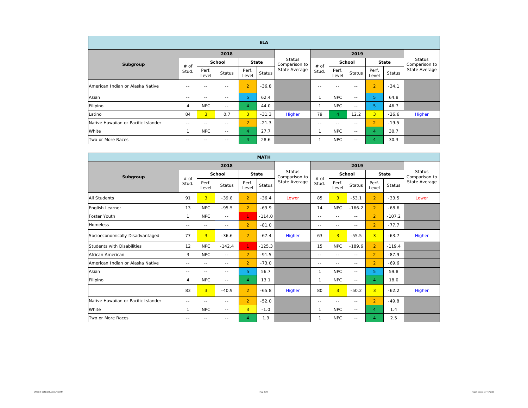|                                     |                |                |               |                | <b>ELA</b>   |                                |                   |                |               |                |         |                         |
|-------------------------------------|----------------|----------------|---------------|----------------|--------------|--------------------------------|-------------------|----------------|---------------|----------------|---------|-------------------------|
|                                     |                |                | 2018          |                |              |                                |                   |                | 2019          |                |         |                         |
| Subgroup                            | # of           |                | School        |                | <b>State</b> | <b>Status</b><br>Comparison to | # of<br>Stud.     | School         |               | State          |         | Status<br>Comparison to |
|                                     | Stud.          | Perf.<br>Level | <b>Status</b> | Perf.<br>Level | Status       | State Average                  |                   | Perf.<br>Level | <b>Status</b> | Perf.<br>Level | Status  | State Average           |
| American Indian or Alaska Native    | $- -$          | $- -$          | $- -$         | $\overline{2}$ | $-36.8$      |                                | $- -$             | $- -$          | $- -$         | $\overline{2}$ | $-34.1$ |                         |
| Asian                               | $- -$          | $- -$          | $- -$         | 5              | 62.4         |                                | $\mathbf{1}$      | <b>NPC</b>     | $- -$         | 5.             | 64.8    |                         |
| Filipino                            | $\overline{4}$ | <b>NPC</b>     | $\frac{1}{2}$ | $\overline{4}$ | 44.0         |                                | 1                 | <b>NPC</b>     | $- -$         | 5.             | 46.7    |                         |
| Latino                              | 84             | $\overline{3}$ | 0.7           | 3 <sup>1</sup> | $-31.3$      | Higher                         | 79                | $\overline{4}$ | 12.2          | 3 <sup>1</sup> | $-26.6$ | Higher                  |
| Native Hawaiian or Pacific Islander | $\frac{1}{2}$  | $- -$          | $\frac{1}{2}$ | $\overline{2}$ | $-21.3$      |                                | $\qquad \qquad -$ | $- -$          | $- -$         | $\overline{2}$ | $-19.5$ |                         |
| White                               |                | <b>NPC</b>     | $\frac{1}{2}$ | $\overline{4}$ | 27.7         |                                | 1                 | <b>NPC</b>     | $- -$         | 4              | 30.7    |                         |
| Two or More Races                   | $- -$          | $- -$          | $\frac{1}{2}$ | $\overline{4}$ | 28.6         |                                |                   | NPC            | $- -$         | 4              | 30.3    |                         |

|                                     |               |                |               |                | <b>MATH</b>   |                                |               |                   |               |                |               |                                |
|-------------------------------------|---------------|----------------|---------------|----------------|---------------|--------------------------------|---------------|-------------------|---------------|----------------|---------------|--------------------------------|
|                                     |               |                | 2018          |                |               |                                |               |                   | 2019          |                |               |                                |
| Subgroup                            |               |                | School        | <b>State</b>   |               | <b>Status</b><br>Comparison to |               | School            |               | <b>State</b>   |               | <b>Status</b><br>Comparison to |
|                                     | # of<br>Stud. | Perf.<br>Level | Status        | Perf.<br>Level | <b>Status</b> | State Average                  | # of<br>Stud. | Perf.<br>Level    | <b>Status</b> | Perf.<br>Level | <b>Status</b> | State Average                  |
| <b>All Students</b>                 | 91            | $\overline{3}$ | $-39.8$       | $\overline{2}$ | $-36.4$       | Lower                          | 85            | $\overline{3}$    | $-53.1$       | $\overline{2}$ | $-33.5$       | Lower                          |
| English Learner                     | 13            | <b>NPC</b>     | $-95.5$       | $\overline{2}$ | $-69.9$       |                                | 14            | NPC               | $-166.2$      | $\overline{2}$ | $-68.6$       |                                |
| Foster Youth                        | $\mathbf{1}$  | <b>NPC</b>     | $=$           | $\mathbf{1}$   | $-114.0$      |                                | $\sim$ $\sim$ | $- -$             | $\sim$ $\sim$ | $\overline{2}$ | $-107.2$      |                                |
| Homeless                            | $\frac{1}{2}$ | $\frac{1}{2}$  | $\frac{1}{2}$ | $\overline{2}$ | $-81.0$       |                                | $\frac{1}{2}$ | $\qquad \qquad -$ | $- -$         | $\overline{2}$ | $-77.7$       |                                |
| Socioeconomically Disadvantaged     | 77            | $\overline{3}$ | $-36.6$       | $\overline{2}$ | $-67.4$       | Higher                         | 63            | $\overline{3}$    | $-55.5$       | 3 <sup>1</sup> | $-63.7$       | Higher                         |
| <b>Students with Disabilities</b>   | 12            | NPC            | $-142.4$      | $\mathbf{1}$   | $-125.3$      |                                | 15            | <b>NPC</b>        | $-189.6$      | $\overline{2}$ | $-119.4$      |                                |
| African American                    | 3             | <b>NPC</b>     | $\frac{1}{2}$ | $\overline{2}$ | $-91.5$       |                                | $- -$         | $-$               | $- -$         | $\overline{2}$ | $-87.9$       |                                |
| American Indian or Alaska Native    | $\frac{1}{2}$ | $\frac{1}{2}$  | $\frac{1}{2}$ | $\overline{2}$ | $-73.0$       |                                | $- -$         | $-$               | $- -$         | $\overline{2}$ | $-69.6$       |                                |
| Asian                               | $\frac{1}{2}$ | $\frac{1}{2}$  | $\frac{1}{2}$ | 5              | 56.7          |                                | 1             | NPC               | $\sim$ $-$    | 5.             | 59.8          |                                |
| Filipino                            | 4             | <b>NPC</b>     | $\sim$ $-$    | $\overline{4}$ | 13.1          |                                | 1             | <b>NPC</b>        | $\sim$ $\sim$ | $\overline{4}$ | 18.0          |                                |
|                                     | 83            | $\overline{3}$ | $-40.9$       | $\overline{2}$ | $-65.8$       | Higher                         | 80            | $\overline{3}$    | $-50.2$       | $\overline{3}$ | $-62.2$       | Higher                         |
| Native Hawaiian or Pacific Islander | $\frac{1}{2}$ | $\frac{1}{2}$  | $\frac{1}{2}$ | $\overline{2}$ | $-52.0$       |                                | $- -$         | $-$               | $- -$         | 2 <sup>7</sup> | $-49.8$       |                                |
| White                               | 1             | NPC            | $\sim$ $-$    | 3              | $-1.0$        |                                | 1             | NPC               | $\sim$ $\sim$ | $\overline{4}$ | 1.4           |                                |
| Two or More Races                   | $\frac{1}{2}$ | $ -$           | $ -$          | $\overline{4}$ | 1.9           |                                | 1             | <b>NPC</b>        | $- -$         | 4              | 2.5           |                                |

Ē.